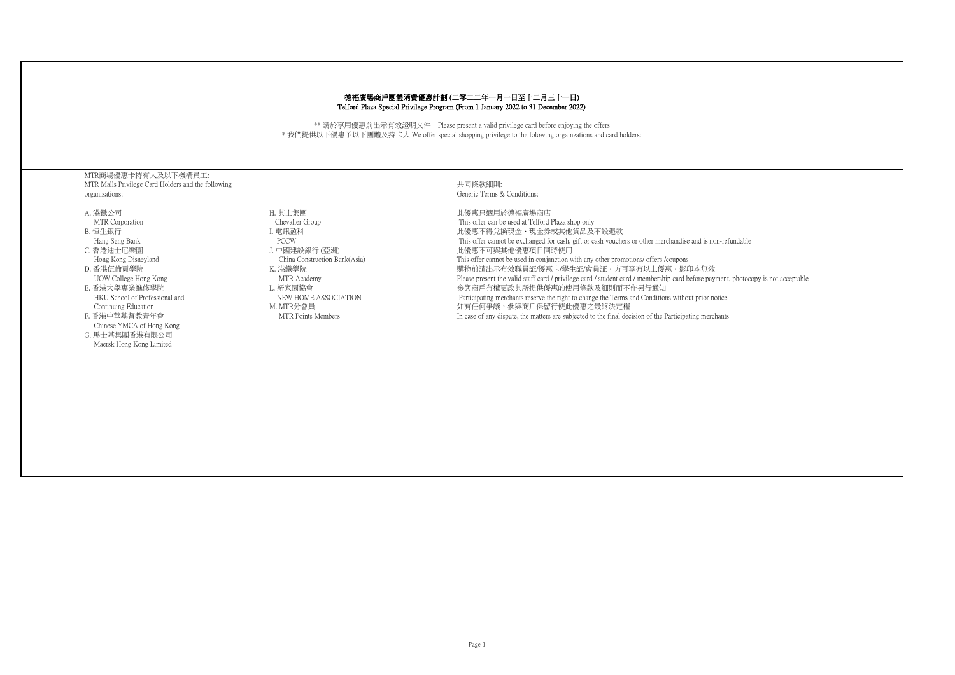## 德福廣場商戶團體消費優惠計劃 (二零二二年一月一日至十二月三十一日) Telford Plaza Special Privilege Program (From 1 January 2022 to 31 December 2022)

\*\* 請於享用優惠前出示有效證明文件 Please present a valid privilege card before enjoying the offers \* 我們提供以下優惠予以下團體及持卡人 We offer special shopping privilege to the folowing orgainzations and card holders:

MTR商場優惠卡持有人及以下機構員工: MTR Malls Privilege Card Holders and the following organizations:

A. 港鐵公司 MTR Corporation B. 恒生銀行 Hang Seng Bank C. 香港迪士尼樂園 Hong Kong Disneyland D. 香港伍倫貢學院 UOW College Hong Kong E. 香港大學專業進修學院 HKU School of Professional and Continuing Education F. 香港中華基督教青年會 Chinese YMCA of Hong Kong G. 馬士基集團香港有限公司 Maersk Hong Kong Limited

H. 其士集團 Chevalier Group I. 電訊盈科 PCCW J. 中國建設銀行 (亞洲) China Construction Bank(Asia) K. 港鐵學院 MTR Academy L. 新家園協會 NEW HOME ASSOCIATION M. MTR分會員 MTR Points Members

## 共同條款細則: Generic Terms & Conditions:

此優惠只適用於德福廣場商店 This offer can be used at Telford Plaza shop only 此優惠不得兌換現金、現金券或其他貨品及不設退款 This offer cannot be exchanged for cash, gift or cash vouchers or other merchandise and is non-refundable 此優惠不可與其他優惠項目同時使用 This offer cannot be used in conjunction with any other promotions/ offers /coupons 購物前請出示有效職員証/優惠卡/學生証/會員証,方可享有以上優惠,影印本無效 Please present the valid staff card / privilege card / student card / membership card before payment, photocopy is not acceptable 參與商戶有權更改其所提供優惠的使用條款及細則而不作另行通知 Participating merchants reserve the right to change the Terms and Conditions without prior notice 如有任何爭議,參與商戶保留行使此優惠之最終決定權 In case of any dispute, the matters are subjected to the final decision of the Participating merchants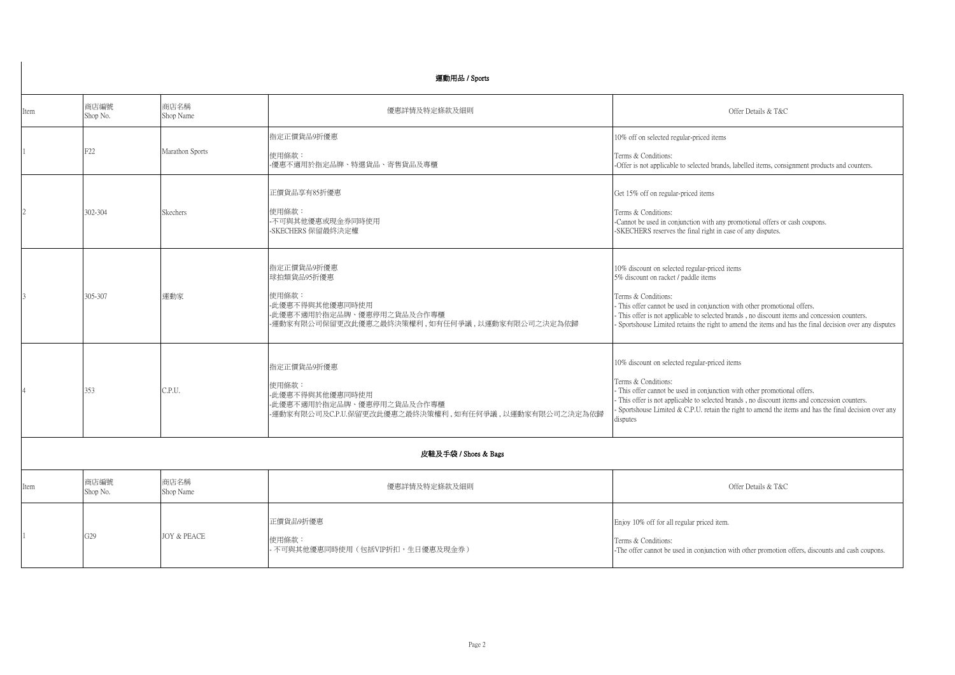|                      | 運動用品 / Sports    |                        |                                                                                                                                   |                                                                                                                                                                                                                                                                                                                                                                                                       |  |
|----------------------|------------------|------------------------|-----------------------------------------------------------------------------------------------------------------------------------|-------------------------------------------------------------------------------------------------------------------------------------------------------------------------------------------------------------------------------------------------------------------------------------------------------------------------------------------------------------------------------------------------------|--|
| Item                 | 商店編號<br>Shop No. | 商店名稱<br>Shop Name      | 優惠詳情及特定條款及細則                                                                                                                      | Offer Details & T&C                                                                                                                                                                                                                                                                                                                                                                                   |  |
|                      | F22              | Marathon Sports        | 指定正價貨品9折優惠<br>使用條款:<br>-優惠不適用於指定品牌、特選貨品、寄售貨品及專櫃                                                                                   | 10% off on selected regular-priced items<br>Terms & Conditions:<br>-Offer is not applicable to selected brands, labelled items, consignment products and counters.                                                                                                                                                                                                                                    |  |
|                      | 302-304          | Skechers               | 正價貨品享有85折優惠<br>使用條款:<br>不可與其他優惠或現金券同時使用<br>-SKECHERS 保留最終決定權                                                                      | Get 15% off on regular-priced items<br>Terms & Conditions:<br>-Cannot be used in conjunction with any promotional offers or cash coupons.<br>-SKECHERS reserves the final right in case of any disputes.                                                                                                                                                                                              |  |
|                      | 305-307          | 運動家                    | 指定正價貨品9折優惠<br>球拍類貨品95折優惠<br>使用條款:<br>-此優惠不得與其他優惠同時使用<br>-此優惠不適用於指定品牌、優惠停用之貨品及合作專櫃<br>-運動家有限公司保留更改此優惠之最終決策權利,如有任何爭議,以運動家有限公司之決定為依歸 | 10% discount on selected regular-priced items<br>5% discount on racket / paddle items<br>Terms & Conditions:<br>- This offer cannot be used in conjunction with other promotional offers.<br>- This offer is not applicable to selected brands, no discount items and concession counters.<br>- Sportshouse Limited retains the right to amend the items and has the final decision over any disputes |  |
|                      | 353              | C.P.U.                 | 指定正價貨品9折優惠<br>使用條款:<br>-此優惠不得與其他優惠同時使用<br>-此優惠不適用於指定品牌、優惠停用之貨品及合作專櫃<br>-運動家有限公司及C.P.U.保留更改此優惠之最終決策權利,如有任何爭議,以運動家有限公司之決定為依歸        | 10% discount on selected regular-priced items<br>Terms & Conditions:<br>- This offer cannot be used in conjunction with other promotional offers.<br>- This offer is not applicable to selected brands , no discount items and concession counters.<br>- Sportshouse Limited & C.P.U. retain the right to amend the items and has the final decision over any<br>disputes                             |  |
| 皮鞋及手袋 / Shoes & Bags |                  |                        |                                                                                                                                   |                                                                                                                                                                                                                                                                                                                                                                                                       |  |
| Item                 | 商店編號<br>Shop No. | 商店名稱<br>Shop Name      | 優惠詳情及特定條款及細則                                                                                                                      | Offer Details & T&C                                                                                                                                                                                                                                                                                                                                                                                   |  |
|                      | G29              | <b>JOY &amp; PEACE</b> | 正價貨品9折優惠<br>使用條款:<br>· 不可與其他優惠同時使用(包括VIP折扣,生日優惠及現金券)                                                                              | Enjoy 10% off for all regular priced item.<br>Terms & Conditions:<br>-The offer cannot be used in conjunction with other promotion offers, discounts and cash coupons.                                                                                                                                                                                                                                |  |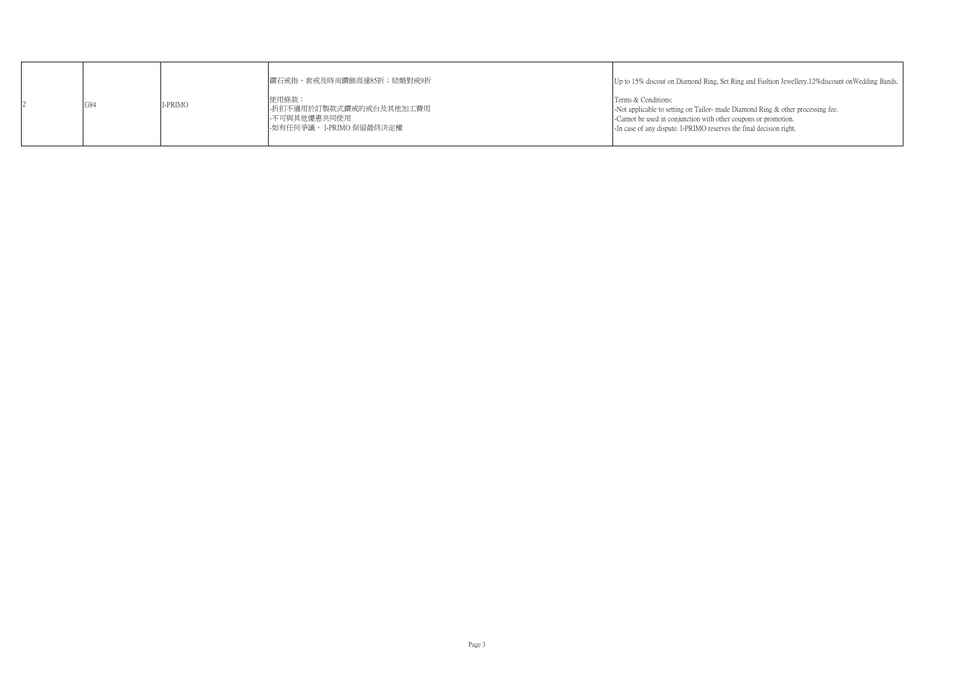|     |         | 鑽石戒指、套戒及時尚鑽飾高達85折;結婚對戒9折                                                       | Up to 15% discout on Diamond Ring, Set Ring and Fashion Jewellery.12% discount on Wedding Bands.                                                                                                                                                 |
|-----|---------|--------------------------------------------------------------------------------|--------------------------------------------------------------------------------------------------------------------------------------------------------------------------------------------------------------------------------------------------|
| G84 | I-PRIMO | 使用條款:<br>-折扣不適用於訂製款式鑽戒的戒台及其他加工費用<br>--不可與其他優惠共同使用<br>--如有任何爭議, I-PRIMO 保留最終決定權 | Terms & Conditions:<br>-Not applicable to setting on Tailor- made Diamond Ring & other processing fee.<br>-Cannot be used in conjunction with other coupons or promotion.<br>-In case of any dispute. I-PRIMO reserves the final decision right. |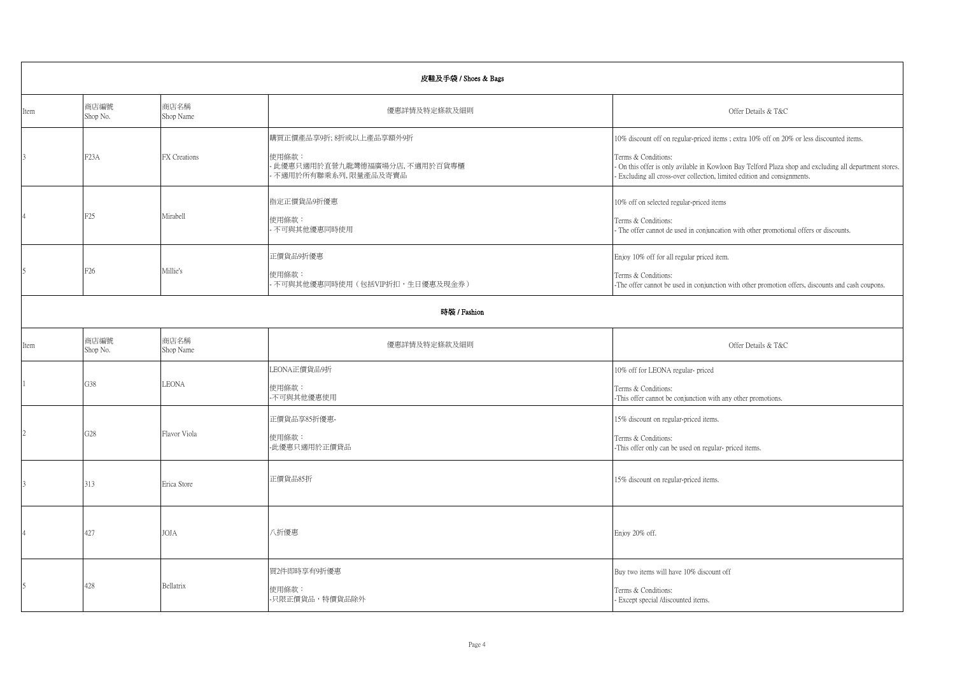| 皮鞋及手袋 / Shoes & Bags |                   |                   |                                                                                       |                                                                                                                                                                                                                                                                                                      |  |  |
|----------------------|-------------------|-------------------|---------------------------------------------------------------------------------------|------------------------------------------------------------------------------------------------------------------------------------------------------------------------------------------------------------------------------------------------------------------------------------------------------|--|--|
| Item                 | 商店編號<br>Shop No.  | 商店名稱<br>Shop Name | 優惠詳情及特定條款及細則                                                                          | Offer Details & T&C                                                                                                                                                                                                                                                                                  |  |  |
| 3                    | F <sub>2</sub> 3A | FX Creations      | 購買正價產品享9折;8折或以上產品享額外9折<br>使用條款:<br>此優惠只適用於直營九龍灣德福廣場分店,不適用於百貨專櫃<br>不適用於所有聯乘系列,限量產品及寄賣品 | 10% discount off on regular-priced items; extra 10% off on 20% or less discounted items.<br>Terms & Conditions:<br>- On this offer is only avilable in Kowloon Bay Telford Plaza shop and excluding all department stores.<br>Excluding all cross-over collection, limited edition and consignments. |  |  |
|                      | F <sub>25</sub>   | Mirabell          | 指定正價貨品9折優惠<br>使用條款:<br>不可與其他優惠同時使用                                                    | 10% off on selected regular-priced items<br>Terms & Conditions:<br>The offer cannot de used in conjuncation with other promotional offers or discounts.                                                                                                                                              |  |  |
|                      | F <sub>26</sub>   | Millie's          | 正價貨品9折優惠<br>使用條款:<br>不可與其他優惠同時使用(包括VIP折扣,生日優惠及現金券)                                    | Enjoy 10% off for all regular priced item.<br>Terms & Conditions:<br>-The offer cannot be used in conjunction with other promotion offers, discounts and cash coupons.                                                                                                                               |  |  |
|                      | 時裝 / Fashion      |                   |                                                                                       |                                                                                                                                                                                                                                                                                                      |  |  |
| Item                 | 商店編號<br>Shop No.  | 商店名稱<br>Shop Name | 優惠詳情及特定條款及細則                                                                          | Offer Details & T&C                                                                                                                                                                                                                                                                                  |  |  |
|                      | G38               | <b>LEONA</b>      | LEONA正價貨品9折<br>使用條款:<br>不可與其他優惠使用                                                     | 10% off for LEONA regular-priced<br>Terms & Conditions:<br>-This offer cannot be conjunction with any other promotions.                                                                                                                                                                              |  |  |
| $\overline{2}$       | G <sub>28</sub>   | Flavor Viola      | 正價貨品享85折優惠-<br>使用條款:<br>-此優惠只適用於正價貸品                                                  | 15% discount on regular-priced items.<br>Terms & Conditions:<br>-This offer only can be used on regular- priced items.                                                                                                                                                                               |  |  |
| 3                    | 313               | Erica Store       | 正價貨品85折                                                                               | 15% discount on regular-priced items.                                                                                                                                                                                                                                                                |  |  |
|                      | 427               | <b>JOJA</b>       | 八折優惠                                                                                  | Enjoy 20% off.                                                                                                                                                                                                                                                                                       |  |  |
| 5                    | 428               | Bellatrix         | 買2件即時享有9折優惠<br>使用條款:<br>-只限正價貨品,特價貨品除外                                                | Buy two items will have 10% discount off<br>Terms & Conditions:<br>- Except special /discounted items.                                                                                                                                                                                               |  |  |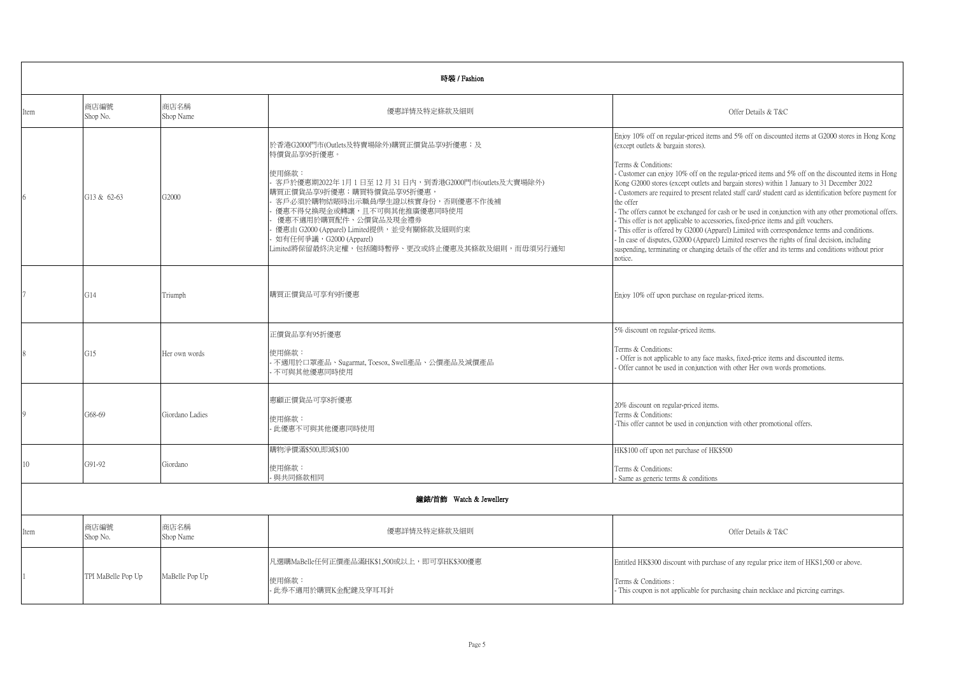|                         | 時裝 / Fashion       |                   |                                                                                                                                                                                                                                                                                                                                                                     |                                                                                                                                                                                                                                                                                                                                                                                                                                                                                                                                                                                                                                                                                                                                                                                                                                                                                                                                                                                                                     |  |  |
|-------------------------|--------------------|-------------------|---------------------------------------------------------------------------------------------------------------------------------------------------------------------------------------------------------------------------------------------------------------------------------------------------------------------------------------------------------------------|---------------------------------------------------------------------------------------------------------------------------------------------------------------------------------------------------------------------------------------------------------------------------------------------------------------------------------------------------------------------------------------------------------------------------------------------------------------------------------------------------------------------------------------------------------------------------------------------------------------------------------------------------------------------------------------------------------------------------------------------------------------------------------------------------------------------------------------------------------------------------------------------------------------------------------------------------------------------------------------------------------------------|--|--|
| Item                    | 商店編號<br>Shop No.   | 商店名稱<br>Shop Name | 優惠詳情及特定條款及細則                                                                                                                                                                                                                                                                                                                                                        | Offer Details & T&C                                                                                                                                                                                                                                                                                                                                                                                                                                                                                                                                                                                                                                                                                                                                                                                                                                                                                                                                                                                                 |  |  |
| 6                       | G13 & 62-63        | G2000             | 於香港G2000門市(Outlets及特賣場除外)購買正價貨品享9折優惠;及<br>特價貨品享95折優惠。<br>使用條款:<br>客戶於優惠期2022年1月1日至12月31日內,到香港G2000門市(outlets及大賣場除外)<br>購買正價貨品享9折優惠;購買特價貨品享95折優惠,<br>客戶必須於購物結賬時出示職員/學生證以核實身份,否則優惠不作後補<br>優惠不得兌換現金或轉讓,且不可與其他推廣優惠同時使用<br>優惠不適用於購買配件、公價貨品及現金禮券<br>優惠由 G2000 (Apparel) Limited提供,並受有關條款及細則約束<br>如有任何爭議, G2000 (Apparel)<br>Limited將保留最終決定權,包括隨時暫停、更改或終止優惠及其條款及細則,而毋須另行通知 | Enjoy 10% off on regular-priced items and 5% off on discounted items at G2000 stores in Hong Kong<br>(except outlets & bargain stores).<br>Terms & Conditions:<br>- Customer can enjoy 10% off on the regular-priced items and 5% off on the discounted items in Hong<br>Kong G2000 stores (except outlets and bargain stores) within 1 January to 31 December 2022<br>- Customers are required to present related staff card/ student card as identification before payment for<br>the offer<br>- The offers cannot be exchanged for cash or be used in conjunction with any other promotional offers.<br>- This offer is not applicable to accessories, fixed-price items and gift vouchers.<br>- This offer is offered by G2000 (Apparel) Limited with correspondence terms and conditions.<br>- In case of disputes, G2000 (Apparel) Limited reserves the rights of final decision, including<br>suspending, terminating or changing details of the offer and its terms and conditions without prior<br>notice. |  |  |
|                         | G14                | Triumph           | 購買正價貨品可享有9折優惠                                                                                                                                                                                                                                                                                                                                                       | Enjoy 10% off upon purchase on regular-priced items.                                                                                                                                                                                                                                                                                                                                                                                                                                                                                                                                                                                                                                                                                                                                                                                                                                                                                                                                                                |  |  |
|                         | G15                | Her own words     | 正價貨品享有95折優惠<br>使用條款:<br>不適用於口罩產品、Sugarmat, Toesox, Swell產品、公價產品及減價產品<br>不可與其他優惠同時使用                                                                                                                                                                                                                                                                                 | 5% discount on regular-priced items.<br>Terms & Conditions:<br>- Offer is not applicable to any face masks, fixed-price items and discounted items.<br>- Offer cannot be used in conjunction with other Her own words promotions.                                                                                                                                                                                                                                                                                                                                                                                                                                                                                                                                                                                                                                                                                                                                                                                   |  |  |
|                         | G68-69             | Giordano Ladies   | 惠顧正價貨品可享8折優惠<br>使用條款:<br>此優惠不可與其他優惠同時使用                                                                                                                                                                                                                                                                                                                             | 20% discount on regular-priced items.<br>Terms & Conditions:<br>-This offer cannot be used in conjunction with other promotional offers.                                                                                                                                                                                                                                                                                                                                                                                                                                                                                                                                                                                                                                                                                                                                                                                                                                                                            |  |  |
| 10                      | G91-92             | Giordano          | 購物淨價滿\$500,即減\$100<br>使用條款:<br>與共同條款相同                                                                                                                                                                                                                                                                                                                              | HK\$100 off upon net purchase of HK\$500<br>Terms & Conditions:<br>Same as generic terms & conditions                                                                                                                                                                                                                                                                                                                                                                                                                                                                                                                                                                                                                                                                                                                                                                                                                                                                                                               |  |  |
| 鐘錶/首飾 Watch & Jewellery |                    |                   |                                                                                                                                                                                                                                                                                                                                                                     |                                                                                                                                                                                                                                                                                                                                                                                                                                                                                                                                                                                                                                                                                                                                                                                                                                                                                                                                                                                                                     |  |  |
| Item                    | 商店編號<br>Shop No.   | 商店名稱<br>Shop Name | 優惠詳情及特定條款及細則                                                                                                                                                                                                                                                                                                                                                        | Offer Details & T&C                                                                                                                                                                                                                                                                                                                                                                                                                                                                                                                                                                                                                                                                                                                                                                                                                                                                                                                                                                                                 |  |  |
|                         | TPI MaBelle Pop Up | MaBelle Pop Up    | 凡選購MaBelle任何正價產品滿HK\$1,500或以上,即可享HK\$300優惠<br>使用條款:<br>此券不適用於購買K金配鍵及穿耳耳針                                                                                                                                                                                                                                                                                            | Entitled HK\$300 discount with purchase of any regular price item of HKS1,500 or above.<br>Terms & Conditions:<br>- This coupon is not applicable for purchasing chain necklace and picrcing earrings.                                                                                                                                                                                                                                                                                                                                                                                                                                                                                                                                                                                                                                                                                                                                                                                                              |  |  |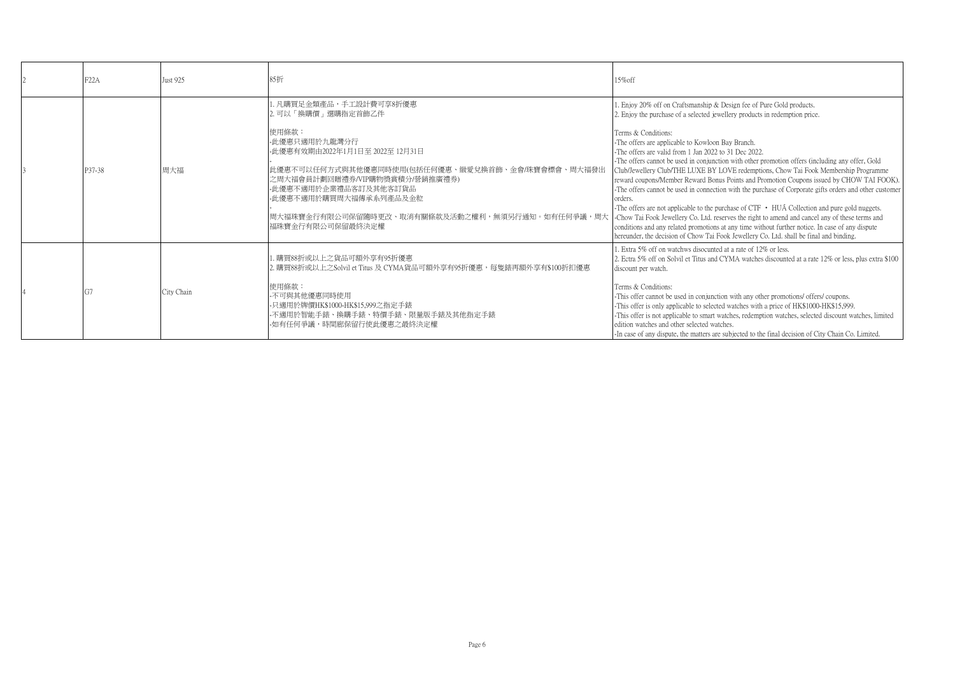| F22A   | <b>Just 925</b> | 85折                                                                                                                                                                                                                                                                                                                          | 15%off                                                                                                                                                                                                                                                                                                                                                                                                                                                                                                                                                                                                                                                                                                                                                                                                                                                                                                                                                                                                                                                                                                           |
|--------|-----------------|------------------------------------------------------------------------------------------------------------------------------------------------------------------------------------------------------------------------------------------------------------------------------------------------------------------------------|------------------------------------------------------------------------------------------------------------------------------------------------------------------------------------------------------------------------------------------------------------------------------------------------------------------------------------------------------------------------------------------------------------------------------------------------------------------------------------------------------------------------------------------------------------------------------------------------------------------------------------------------------------------------------------------------------------------------------------------------------------------------------------------------------------------------------------------------------------------------------------------------------------------------------------------------------------------------------------------------------------------------------------------------------------------------------------------------------------------|
| P37-38 | 周大福             | 1. 凡購買足金類產品,手工設計費可享8折優惠<br>2. 可以「換購價」選購指定首飾乙件<br>使用條款:<br>- 此優惠只適用於九龍灣分行<br>-此優惠有效期由2022年1月1日至 2022至 12月31日<br>此優惠不可以任何方式與其他優惠同時使用(包括任何優惠、緻愛兌換首飾、金會/珠寶會標會、周大福發出<br>之周大福會員計劃回贈禮券/VIP購物獎賞積分/營銷推廣禮券)<br>-此優惠不適用於企業禮品客訂及其他客訂貨品<br>-此優惠不適用於購買周大福傳承系列產品及金粒<br> 周大福珠寶金行有限公司保留隨時更改、取消有關條款及活動之權利,無須另行通知。如有任何爭議,周大<br>福珠寶金行有限公司保留最終決定權 | . Enjoy 20% off on Craftsmanship & Design fee of Pure Gold products.<br>2. Enjoy the purchase of a selected jewellery products in redemption price.<br>Terms & Conditions:<br>-The offers are applicable to Kowloon Bay Branch.<br>-The offers are valid from 1 Jan 2022 to 31 Dec 2022.<br>-The offers cannot be used in conjunction with other promotion offers (including any offer, Gold<br>Club/Jewellery Club/THE LUXE BY LOVE redemptions, Chow Tai Fook Membership Programme<br>reward coupons/Member Reward Bonus Points and Promotion Coupons issued by CHOW TAI FOOK).<br>-The offers cannot be used in connection with the purchase of Corporate gifts orders and other customer<br>orders.<br>-The offers are not applicable to the purchase of $CTF \cdot HUA$ Collection and pure gold nuggets.<br>-Chow Tai Fook Jewellery Co. Ltd. reserves the right to amend and cancel any of these terms and<br>conditions and any related promotions at any time without further notice. In case of any dispute<br>hereunder, the decision of Chow Tai Fook Jewellery Co. Ltd. shall be final and binding. |
|        | City Chain      | 購買88折或以上之貨品可額外享有95折優惠<br>2. 購買88折或以上之Solvil et Titus 及 CYMA貨品可額外享有95折優惠,每隻錶再額外享有\$100折扣優惠<br>使用條款:<br>-不可與其他優惠同時使用<br>-只適用於牌價HK\$1000-HK\$15,999之指定手錶<br>-不適用於智能手錶、換購手錶、特價手錶、限量版手錶及其他指定手錶<br>-如有任何爭議,時間廊保留行使此優惠之最終決定權                                                                                                        | 1. Extra 5% off on watchws disocunted at a rate of 12% or less.<br>2. Ectra 5% off on Solvil et Titus and CYMA watches discounted at a rate 12% or less, plus extra \$100<br>discount per watch.<br>Terms & Conditions:<br>-This offer cannot be used in conjunction with any other promotions/ offers/ coupons.<br>-This offer is only applicable to selected watches with a price of HK\$1000-HK\$15,999.<br>-This offer is not applicable to smart watches, redemption watches, selected discount watches, limited<br>edition watches and other selected watches.<br>-In case of any dispute, the matters are subjected to the final decision of City Chain Co. Limited.                                                                                                                                                                                                                                                                                                                                                                                                                                      |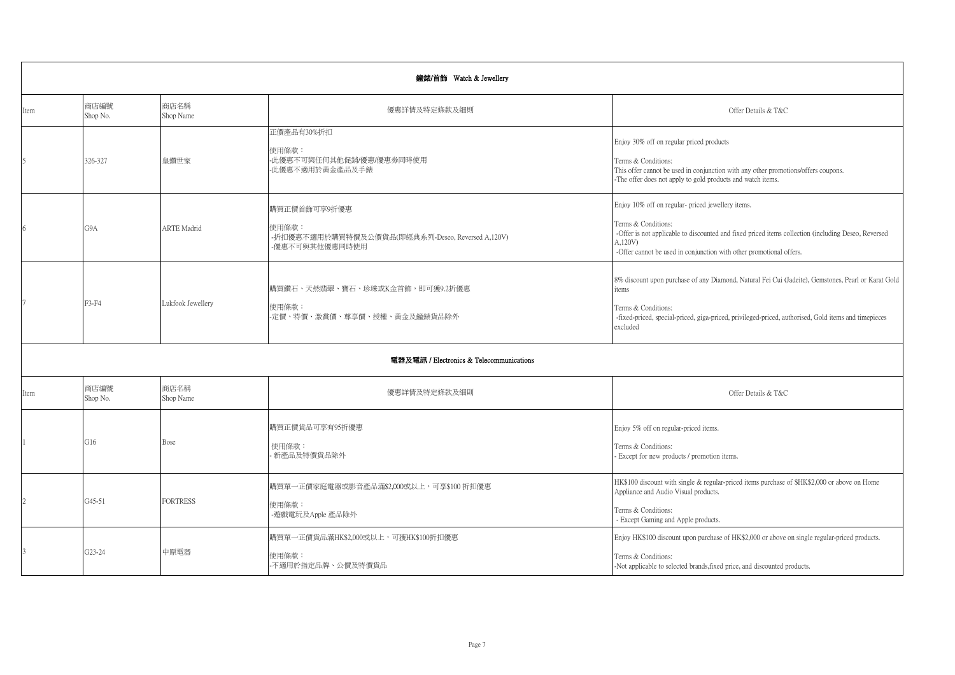|                | 鐘錶/首飾 Watch & Jewellery |                    |                                                                                             |                                                                                                                                                                                                                                                                   |  |
|----------------|-------------------------|--------------------|---------------------------------------------------------------------------------------------|-------------------------------------------------------------------------------------------------------------------------------------------------------------------------------------------------------------------------------------------------------------------|--|
| Item           | 商店編號<br>Shop No.        | 商店名稱<br>Shop Name  | 優惠詳情及特定條款及細則                                                                                | Offer Details & T&C                                                                                                                                                                                                                                               |  |
| $\overline{5}$ | 326-327                 | 皇鑽世家               | 正價產品有30%折扣<br>使用條款:<br>-此優惠不可與任何其他促銷/優惠/優惠券同時使用<br>-此優惠不適用於黃金產品及手錶                          | Enjoy 30% off on regular priced products<br>Terms & Conditions:<br>This offer cannot be used in conjunction with any other promotions/offers coupons.<br>-The offer does not apply to gold products and watch items.                                              |  |
| 6              | G9A                     | <b>ARTE Madrid</b> | 購買正價首飾可享9折優惠<br>使用條款:<br>-折扣優惠不適用於購買特價及公價貨品(即經典系列-Deseo, Reversed A,120V)<br>-優惠不可與其他優惠同時使用 | Enjoy 10% off on regular- priced jewellery items.<br>Terms & Conditions:<br>-Offer is not applicable to discounted and fixed priced items collection (including Deseo, Reversed<br>A,120V)<br>-Offer cannot be used in conjunction with other promotional offers. |  |
|                | F3-F4                   | Lukfook Jewellery  | 購買鑽石、天然翡翠、寶石、珍珠或K金首飾,即可獲9.2折優惠<br>使用條款:<br>-定價、特價、激賞價、尊享價、授權、黃金及鐘錶貨品除外                      | 8% discount upon purchase of any Diamond, Natural Fei Cui (Jadeite), Gemstones, Pearl or Karat Gold<br>tems<br>Terms & Conditions:<br>-fixed-priced, special-priced, giga-priced, privileged-priced, authorised, Gold items and timepieces<br>excluded            |  |
|                |                         |                    | 電器及電訊 / Electronics & Telecommunications                                                    |                                                                                                                                                                                                                                                                   |  |
| Item           | 商店編號<br>Shop No.        | 商店名稱<br>Shop Name  | 優惠詳情及特定條款及細則                                                                                | Offer Details & T&C                                                                                                                                                                                                                                               |  |
|                | G16                     | Bose               | 購買正價貨品可享有95折優惠<br>使用條款:<br>- 新產品及特價貨品除外                                                     | Enjoy 5% off on regular-priced items.<br>Terms & Conditions:<br>Except for new products / promotion items.                                                                                                                                                        |  |
|                | $G45-51$                | <b>FORTRESS</b>    | 購買單一正價家庭電器或影音產品滿\$2,000或以上,可享\$100折扣優惠<br>使用條款:<br>-遊戲電玩及Apple 產品除外                         | HK\$100 discount with single & regular-priced items purchase of \$HK\$2,000 or above on Home<br>Appliance and Audio Visual products.<br>Terms & Conditions:<br>- Except Gaming and Apple products.                                                                |  |
|                | G23-24                  | 中原電器               | 購買單一正價貨品滿HK\$2,000或以上,可獲HK\$100折扣優惠<br>使用條款:<br>-不適用於指定品牌、公價及特價貨品                           | Enjoy HK\$100 discount upon purchase of HK\$2,000 or above on single regular-priced products.<br>Terms & Conditions:<br>-Not applicable to selected brands, fixed price, and discounted products.                                                                 |  |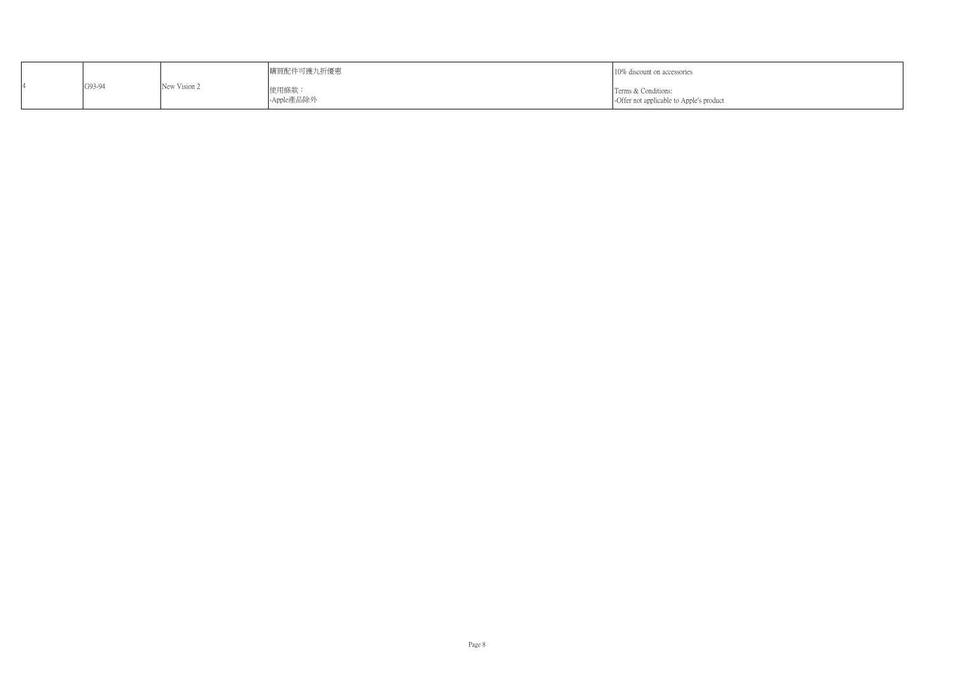|        |              | 購買配件可獲九折優惠          | 10% discount on accessories                                     |
|--------|--------------|---------------------|-----------------------------------------------------------------|
| G93-94 | New Vision 2 | 使用條款:<br>-Apple產品除外 | Terms & Conditions:<br>-Offer not applicable to Apple's product |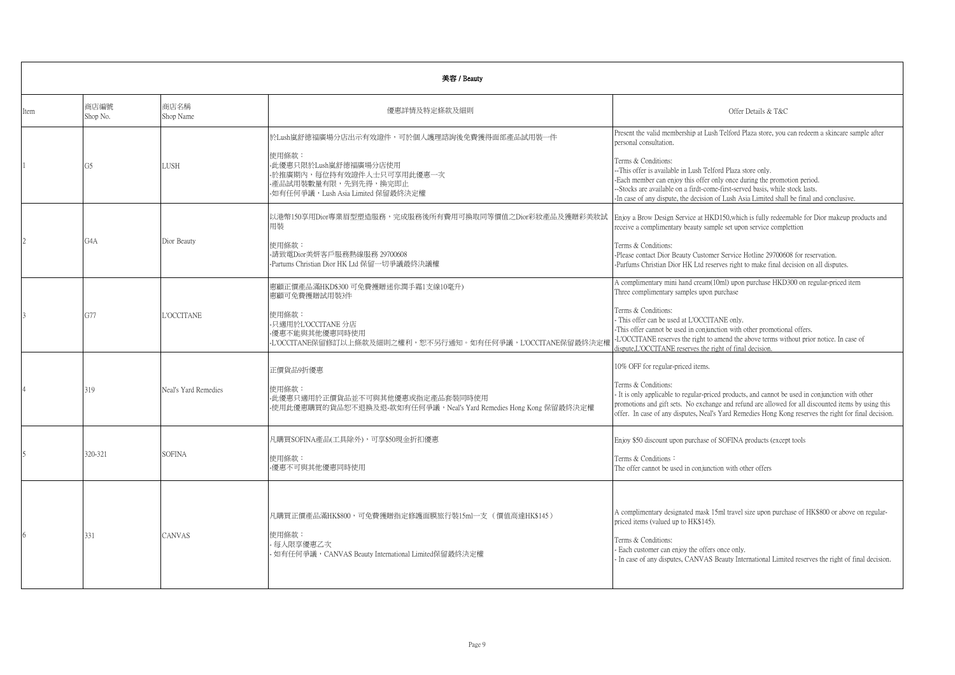|      | 美容 / Beauty      |                      |                                                                                                                                                                        |                                                                                                                                                                                                                                                                                                                                                                                                                                                                             |  |  |
|------|------------------|----------------------|------------------------------------------------------------------------------------------------------------------------------------------------------------------------|-----------------------------------------------------------------------------------------------------------------------------------------------------------------------------------------------------------------------------------------------------------------------------------------------------------------------------------------------------------------------------------------------------------------------------------------------------------------------------|--|--|
| Item | 商店編號<br>Shop No. | 商店名稱<br>Shop Name    | 優惠詳情及特定條款及細則                                                                                                                                                           | Offer Details & T&C                                                                                                                                                                                                                                                                                                                                                                                                                                                         |  |  |
|      | G5               | LUSH                 | 於Lush嵐舒德福廣場分店出示有效證件,可於個人護理諮詢後免費獲得面部產品試用裝一件<br>使用條款:<br>-此優惠只限於Lush嵐舒德福廣場分店使用<br>-於推廣期內,每位持有效證件人士只可享用此優惠一次<br>-產品試用裝數量有限,先到先得,換完即止<br>-如有任何爭議,Lush Asia Limited 保留最終決定權 | Present the valid membership at Lush Telford Plaza store, you can redeem a skincare sample after<br>personal consultation.<br>Terms & Conditions:<br>-- This offer is available in Lush Telford Plaza store only.<br>-Each member can enjoy this offer only once during the promotion period.<br>--Stocks are available on a firdt-come-first-served basis, while stock lasts.<br>-In case of any dispute, the decision of Lush Asia Limited shall be final and conclusive. |  |  |
|      | G4A              | Dior Beauty          | 以港幣150享用Dior專業眉型塑造服務,完成服務後所有費用可換取同等價值之Dior彩妝產品及獲贈彩美妝試<br>用装<br>使用條款:<br>-請致電Dior美妍客戶服務熱線服務 29700608<br>-Partums Christian Dior HK Ltd 保留一切爭議最終決議權                      | Enjoy a Brow Design Service at HKD150, which is fully redeemable for Dior makeup products and<br>receive a complimentary beauty sample set upon service complettion<br>Terms & Conditions:<br>-Please contact Dior Beauty Customer Service Hotline 29700608 for reservation.<br>-Parfums Christian Dior HK Ltd reserves right to make final decision on all disputes.                                                                                                       |  |  |
|      | G77              | L'OCCITANE           | 惠顧正價產品滿HKD\$300 可免費擭贈迷你潤手霜1支線10毫升)<br>惠顧可免費擭贈試用裝3件<br>使用條款:<br>-只適用於L'OCCITANE 分店<br>-優惠不能與其他優惠同時使用<br>-L'OCCITANE保留修訂以上條款及細則之權利,恕不另行通知。如有任何爭議,L'OCCITANE保留最終決定權       | A complimentary mini hand cream(10ml) upon purchase HKD300 on regular-priced item<br>Three complimentary samples upon purchase<br>Terms & Conditions:<br>This offer can be used at L'OCCITANE only.<br>-This offer cannot be used in conjunction with other promotional offers.<br>-L'OCCITANE reserves the right to amend the above terms without prior notice. In case of<br>lispute.L'OCCITANE reserves the right of final decision.                                     |  |  |
|      | 319              | Neal's Yard Remedies | 正價貨品9折優惠<br>使用條款:<br>-此優惠只適用於正價貨品並不可與其他優惠或指定產品套裝同時使用<br>-使用此優惠購買的貨品恕不退換及退-款如有任何爭議,Neal's Yard Remedies Hong Kong 保留最終決定權                                               | 10% OFF for regular-priced items.<br>Terms & Conditions:<br>- It is only applicable to regular-priced products, and cannot be used in conjunction with other<br>promotions and gift sets. No exchange and refund are allowed for all discounted items by using this<br>offer. In case of any disputes, Neal's Yard Remedies Hong Kong reserves the right for final decision.                                                                                                |  |  |
|      | 320-321          | <b>SOFINA</b>        | 凡購買SOFINA產品(工具除外),可享\$50現金折扣優惠<br>使用條款:<br>優惠不可與其他優惠同時使用                                                                                                               | Enjoy \$50 discount upon purchase of SOFINA products (except tools<br>Terms & Conditions:<br>The offer cannot be used in conjunction with other offers                                                                                                                                                                                                                                                                                                                      |  |  |
|      | 331              | CANVAS               | 凡購買正價產品滿HK\$800,可免費獲贈指定修護面膜旅行裝15ml一支( 價值高達HK\$145 )<br>使用條款:<br>每人限享優惠乙次<br>· 如有任何爭議, CANVAS Beauty International Limited保留最終決定權                                       | A complimentary designated mask 15ml travel size upon purchase of HK\$800 or above on regular-<br>priced items (valued up to HK\$145).<br>Terms & Conditions:<br>Each customer can enjoy the offers once only.<br>- In case of any disputes, CANVAS Beauty International Limited reserves the right of final decision.                                                                                                                                                      |  |  |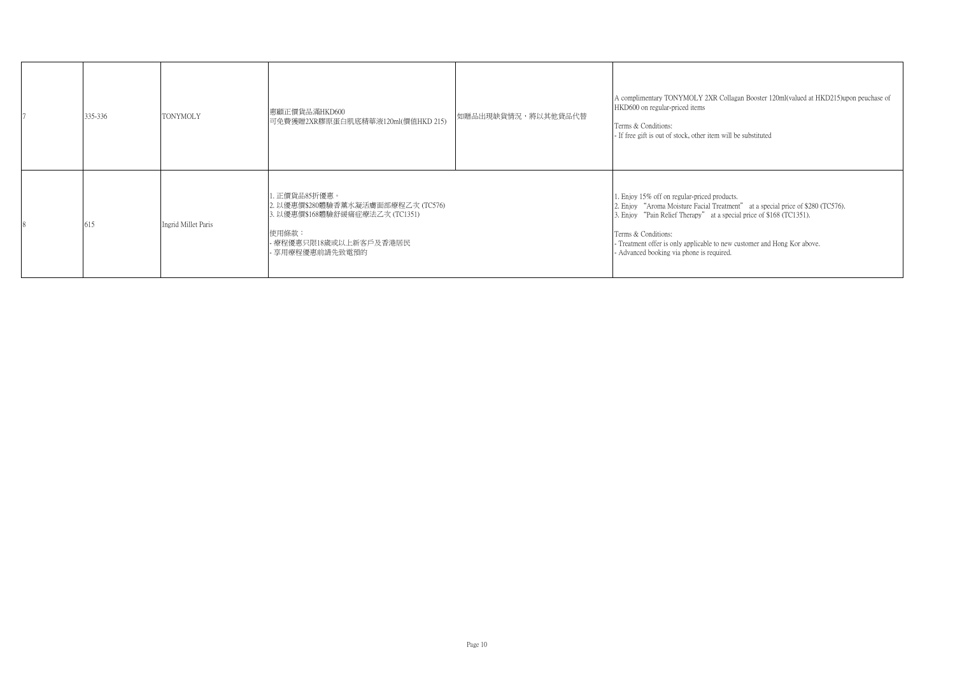| 335-336 | <b>TONYMOLY</b>     | 惠顧正價貨品滿HKD600<br>可免費獲贈2XR膠原蛋白肌底精華液120ml(價值HKD 215)                                                                                             | 如贈品出現缺貨情況,將以其他貸品代替 | A complimentary TONYMOLY 2XR Collagan Booster 120ml(valued at HKD215)upon peuchase of<br>HKD600 on regular-priced items<br>Terms & Conditions:<br>- If free gift is out of stock, other item will be substituted                                                                                                                                        |
|---------|---------------------|------------------------------------------------------------------------------------------------------------------------------------------------|--------------------|---------------------------------------------------------------------------------------------------------------------------------------------------------------------------------------------------------------------------------------------------------------------------------------------------------------------------------------------------------|
| 615     | Ingrid Millet Paris | 1. 正價貨品85折優惠。<br>2. 以優惠價\$280體驗香薰水凝活膚面部療程乙次 (TC576)<br> 3. 以優惠價\$168體驗舒緩痛症療法乙次 (TC1351) <br>使用條款:<br>- 療程優惠只限18歲或以上新客戶及香港居民<br>- 享用療程優惠前請先致電預的 |                    | 1. Enjoy 15% off on regular-priced products.<br>2. Enjoy "Aroma Moisture Facial Treatment" at a special price of \$280 (TC576).<br>3. Enjoy "Pain Relief Therapy" at a special price of \$168 (TC1351).<br>Terms & Conditions:<br>- Treatment offer is only applicable to new customer and Hong Kor above.<br>- Advanced booking via phone is required. |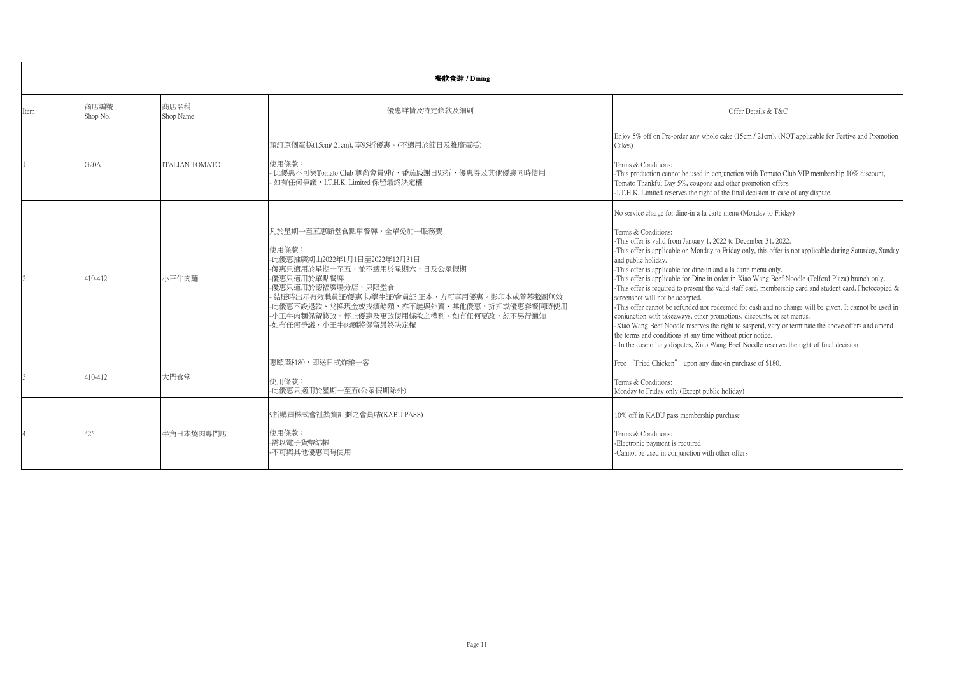|      | 餐飲食肆 / Dining     |                       |                                                                                                                                                                                                                                                                                                            |                                                                                                                                                                                                                                                                                                                                                                                                                                                                                                                                                                                                                                                                                                                                                                                                                                                                                                                                                                                                                                                                                |  |  |
|------|-------------------|-----------------------|------------------------------------------------------------------------------------------------------------------------------------------------------------------------------------------------------------------------------------------------------------------------------------------------------------|--------------------------------------------------------------------------------------------------------------------------------------------------------------------------------------------------------------------------------------------------------------------------------------------------------------------------------------------------------------------------------------------------------------------------------------------------------------------------------------------------------------------------------------------------------------------------------------------------------------------------------------------------------------------------------------------------------------------------------------------------------------------------------------------------------------------------------------------------------------------------------------------------------------------------------------------------------------------------------------------------------------------------------------------------------------------------------|--|--|
| Item | 商店編號<br>Shop No.  | 商店名稱<br>Shop Name     | 優惠詳情及特定條款及細則                                                                                                                                                                                                                                                                                               | Offer Details & T&C                                                                                                                                                                                                                                                                                                                                                                                                                                                                                                                                                                                                                                                                                                                                                                                                                                                                                                                                                                                                                                                            |  |  |
|      | G <sub>20</sub> A | <b>ITALIAN TOMATO</b> | 預訂原個蛋糕(15cm/21cm),享95折優惠。(不適用於節日及推廣蛋糕)<br>使用條款:<br>· 此優惠不可與Tomato Club 尊尚會員9折、番茄感謝日95折、優惠券及其他優惠同時使用<br>· 如有任何爭議, I.T.H.K. Limited 保留最終決定權                                                                                                                                                                  | Enjoy 5% off on Pre-order any whole cake (15cm / 21cm). (NOT applicable for Festive and Promotion<br>Cakes)<br>Terms & Conditions:<br>-This production cannot be used in conjunction with Tomato Club VIP membership 10% discount,<br>Tomato Thankful Day 5%, coupons and other promotion offers.<br>-I.T.H.K. Limited reserves the right of the final decision in case of any dispute.                                                                                                                                                                                                                                                                                                                                                                                                                                                                                                                                                                                                                                                                                        |  |  |
|      | 410-412           | 小王牛肉麵                 | 凡於星期一至五惠顧堂食點單餐牌,全單免加一服務費<br>使用條款:<br>-此優惠推廣期由2022年1月1日至2022年12月31日<br>-優惠只適用於星期一至五,並不適用於星期六、日及公眾假期<br>-優惠只適用於單點餐牌<br>-優惠只適用於德福廣場分店,只限堂食<br>- 結賬時出示有效職員証/優惠卡/學生証/會員証 正本,方可享用優惠。影印本或營幕截圖無效<br>-此優惠不設退款、兌換現金或找續餘額,亦不能與外賣、其他優惠、折扣或優惠套餐同時使用<br>-小王牛肉麵保留修改、停止優惠及更改使用條款之權利。如有任何更改,恕不另行通知<br>-如有任何爭議,小王牛肉麵將保留最終決定權 | No service charge for dine-in a la carte menu (Monday to Friday)<br>Terms & Conditions:<br>-This offer is valid from January 1, 2022 to December 31, 2022.<br>-This offer is applicable on Monday to Friday only, this offer is not applicable during Saturday, Sunday<br>and public holiday.<br>-This offer is applicable for dine-in and a la carte menu only.<br>-This offer is applicable for Dine in order in Xiao Wang Beef Noodle (Telford Plaza) branch only.<br>-This offer is required to present the valid staff card, membership card and student card. Photocopied $\&$<br>screenshot will not be accepted.<br>-This offer cannot be refunded nor redeemed for cash and no change will be given. It cannot be used in<br>conjunction with takeaways, other promotions, discounts, or set menus.<br>-Xiao Wang Beef Noodle reserves the right to suspend, vary or terminate the above offers and amend<br>the terms and conditions at any time without prior notice.<br>- In the case of any disputes, Xiao Wang Beef Noodle reserves the right of final decision. |  |  |
|      | 410-412           | 大門食堂                  | 惠顧滿\$180,即送日式炸雞一客<br>使用條款:<br>-此優惠只適用於星期一至五(公眾假期除外)                                                                                                                                                                                                                                                        | Free "Fried Chicken" upon any dine-in purchase of \$180.<br>Terms & Conditions:<br>Monday to Friday only (Except public holiday)                                                                                                                                                                                                                                                                                                                                                                                                                                                                                                                                                                                                                                                                                                                                                                                                                                                                                                                                               |  |  |
|      | 425               | 牛角日本燒肉專門店             | 9折購買株式會社獎賞計劃之會員咭(KABU PASS)<br>使用條款:<br>-需以電子貨幣結帳<br>-不可與其他優惠同時使用                                                                                                                                                                                                                                          | 10% off in KABU pass membership purchase<br>Terms & Conditions:<br>-Electronic payment is required<br>-Cannot be used in conjunction with other offers                                                                                                                                                                                                                                                                                                                                                                                                                                                                                                                                                                                                                                                                                                                                                                                                                                                                                                                         |  |  |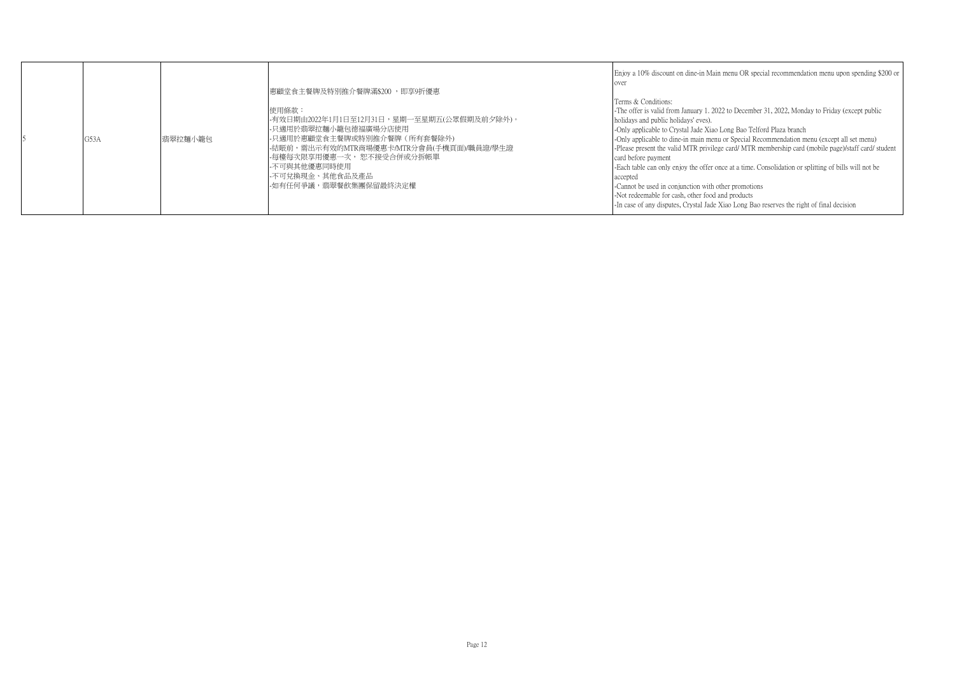|  | G53A | 翡翠拉麵小籠包 | 惠顧堂食主餐牌及特別推介餐牌滿\$200 ,即享9折優惠 <br>使用條款:<br>-有效日期由2022年1月1日至12月31日,星期一至星期五(公眾假期及前夕除外)。<br>-只適用於翡翠拉麵小籠包德福廣場分店使用<br> -只適用於惠顧堂食主餐牌或特別推介餐牌(所有套餐除外)<br>-結賬前,需出示有效的MTR商場優惠卡/MTR分會員(手機頁面)/職員證/學生證<br> -每檯每次限享用優惠一次, 恕不接受合併或分拆帳單 <br>-不可與其他優惠同時使用<br>-不可兌換現金、其他食品及產品<br>-如有任何爭議,翡翠餐飲集團保留最終決定權 | Enjoy a 10% discount on dine-in Main menu OR special recommendation menu upon spending \$200 or<br>over<br>Terms & Conditions:<br>-The offer is valid from January 1, 2022 to December 31, 2022, Monday to Friday (except public<br>holidays and public holidays' eves).<br>-Only applicable to Crystal Jade Xiao Long Bao Telford Plaza branch<br>-Only applicable to dine-in main menu or Special Recommendation menu (except all set menu)<br>-Please present the valid MTR privilege card/ MTR membership card (mobile page)/staff card/ student<br>card before payment<br>-Each table can only enjoy the offer once at a time. Consolidation or splitting of bills will not be<br>accepted<br>-Cannot be used in conjunction with other promotions<br>-Not redeemable for cash, other food and products<br>-In case of any disputes, Crystal Jade Xiao Long Bao reserves the right of final decision |
|--|------|---------|-------------------------------------------------------------------------------------------------------------------------------------------------------------------------------------------------------------------------------------------------------------------------------------|-----------------------------------------------------------------------------------------------------------------------------------------------------------------------------------------------------------------------------------------------------------------------------------------------------------------------------------------------------------------------------------------------------------------------------------------------------------------------------------------------------------------------------------------------------------------------------------------------------------------------------------------------------------------------------------------------------------------------------------------------------------------------------------------------------------------------------------------------------------------------------------------------------------|
|--|------|---------|-------------------------------------------------------------------------------------------------------------------------------------------------------------------------------------------------------------------------------------------------------------------------------------|-----------------------------------------------------------------------------------------------------------------------------------------------------------------------------------------------------------------------------------------------------------------------------------------------------------------------------------------------------------------------------------------------------------------------------------------------------------------------------------------------------------------------------------------------------------------------------------------------------------------------------------------------------------------------------------------------------------------------------------------------------------------------------------------------------------------------------------------------------------------------------------------------------------|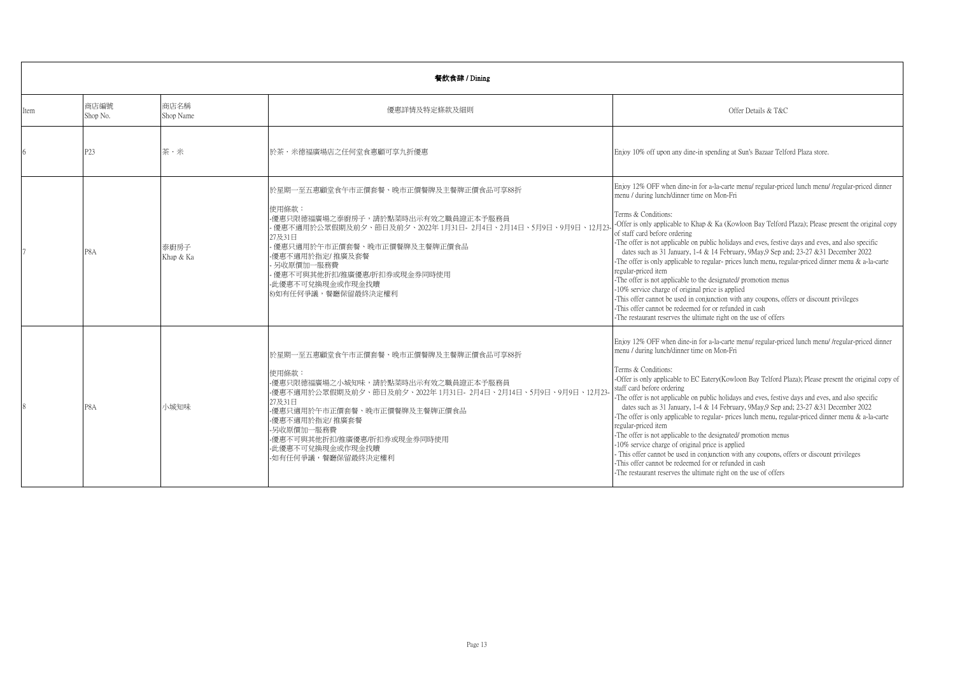|      | 餐飲食肆 / Dining    |                   |                                                                                                                                                                                                                                                                                                                |                                                                                                                                                                                                                                                                                                                                                                                                                                                                                                                                                                                                                                                                                                                                                                                                                                                                                                                                                                                                   |  |  |
|------|------------------|-------------------|----------------------------------------------------------------------------------------------------------------------------------------------------------------------------------------------------------------------------------------------------------------------------------------------------------------|---------------------------------------------------------------------------------------------------------------------------------------------------------------------------------------------------------------------------------------------------------------------------------------------------------------------------------------------------------------------------------------------------------------------------------------------------------------------------------------------------------------------------------------------------------------------------------------------------------------------------------------------------------------------------------------------------------------------------------------------------------------------------------------------------------------------------------------------------------------------------------------------------------------------------------------------------------------------------------------------------|--|--|
| ltem | 商店編號<br>Shop No. | 商店名稱<br>Shop Name | 優惠詳情及特定條款及細則                                                                                                                                                                                                                                                                                                   | Offer Details & T&C                                                                                                                                                                                                                                                                                                                                                                                                                                                                                                                                                                                                                                                                                                                                                                                                                                                                                                                                                                               |  |  |
|      | P <sub>23</sub>  | 茶·米               | 於茶・米德福廣場店之任何堂食惠顧可享九折優惠                                                                                                                                                                                                                                                                                         | Enjoy 10% off upon any dine-in spending at Sun's Bazaar Telford Plaza store.                                                                                                                                                                                                                                                                                                                                                                                                                                                                                                                                                                                                                                                                                                                                                                                                                                                                                                                      |  |  |
|      | P8A              | 泰廚房子<br>Khap & Ka | 於星期一至五惠顧堂食午市正價套餐、晚市正價餐牌及主餐牌正價食品可享88折<br>使用條款:<br>-優惠只限德福廣場之泰廚房子,請於點菜時出示有效之職員證正本予服務員<br>- 優惠不適用於公眾假期及前夕、節日及前夕、2022年 1月31日- 2月4日、2月14日、5月9日、9月9日、12月23-<br>27及31日<br>- 優惠只適用於午市正價套餐、晚市正價餐牌及主餐牌正價食品<br>-優惠不適用於指定/推廣及套餐<br>- 另收原價加一服務費<br>- 優惠不可與其他折扣/推廣優惠/折扣券或現金券同時使用<br>- 此優惠不可兌換現金或作現金找贖<br>8)如有任何爭議,餐廳保留最終決定權利 | Enjoy 12% OFF when dine-in for a-la-carte menu/ regular-priced lunch menu/ /regular-priced dinner<br>menu / during lunch/dinner time on Mon-Fri<br>Terms & Conditions:<br>-Offer is only applicable to Khap & Ka (Kowloon Bay Telford Plaza); Please present the original copy<br>of staff card before ordering<br>-The offer is not applicable on public holidays and eves, festive days and eves, and also specific<br>dates such as 31 January, 1-4 & 14 February, 9May, 9Sep and; 23-27 & 31 December 2022<br>-The offer is only applicable to regular- prices lunch menu, regular-priced dinner menu $\&$ a-la-carte<br>regular-priced item<br>-The offer is not applicable to the designated/promotion menus<br>-10% service charge of original price is applied<br>-This offer cannot be used in conjunction with any coupons, offers or discount privileges<br>-This offer cannot be redeemed for or refunded in cash<br>-The restaurant reserves the ultimate right on the use of offers |  |  |
|      | P8A              | 小城知味              | 於星期一至五惠顧堂食午市正價套餐、晚市正價餐牌及主餐牌正價食品可享88折<br>使用條款:<br>-優惠只限德福廣場之小城知味,請於點菜時出示有效之職員證正本予服務員<br>-優惠不適用於公眾假期及前夕、節日及前夕、2022年1月31日-2月4日、2月14日、5月9日、9月9日、12月23-<br>27及31日<br>-優惠只適用於午市正價套餐、晚市正價餐牌及主餐牌正價食品<br>-優惠不適用於指定/推廣套餐<br>-另收原價加一服務費<br>-優惠不可與其他折扣/推廣優惠/折扣券或現金券同時使用<br>-此優惠不可兌換現金或作現金找贖<br>-如有任何爭議,餐廳保留最終決定權利          | Enjoy 12% OFF when dine-in for a-la-carte menu/ regular-priced lunch menu/ /regular-priced dinner<br>menu / during lunch/dinner time on Mon-Fri<br>Terms & Conditions:<br>-Offer is only applicable to EC Eatery (Kowloon Bay Telford Plaza); Please present the original copy of<br>staff card before ordering<br>-The offer is not applicable on public holidays and eves, festive days and eves, and also specific<br>dates such as 31 January, 1-4 & 14 February, 9May, 9Sep and; 23-27 & 31 December 2022<br>-The offer is only applicable to regular- prices lunch menu, regular-priced dinner menu $\&$ a-la-carte<br>regular-priced item<br>-The offer is not applicable to the designated/promotion menus<br>-10% service charge of original price is applied<br>This offer cannot be used in conjunction with any coupons, offers or discount privileges<br>-This offer cannot be redeemed for or refunded in cash<br>-The restaurant reserves the ultimate right on the use of offers  |  |  |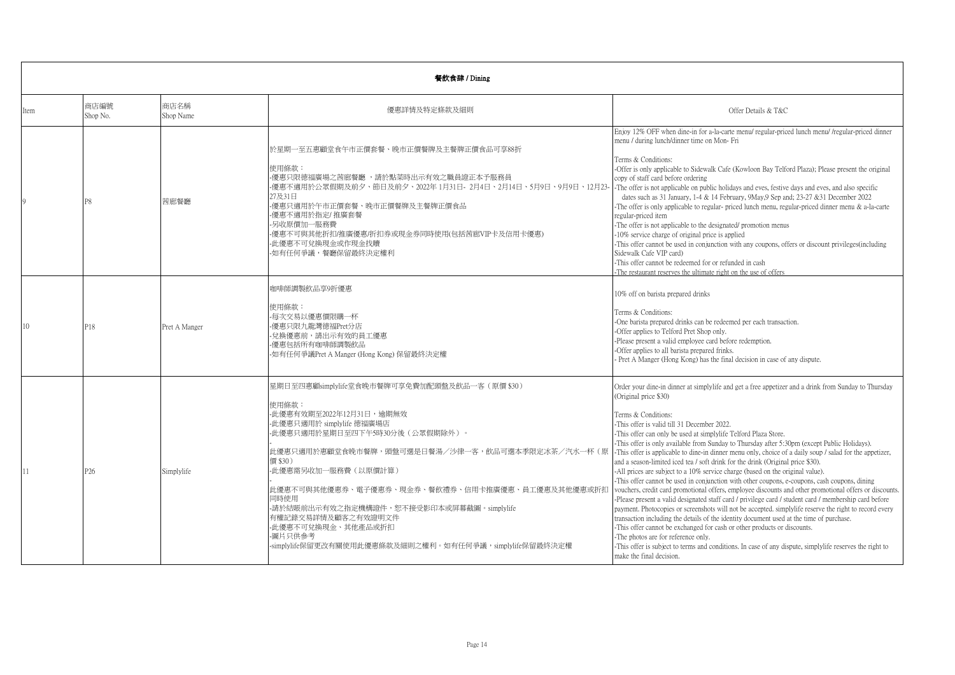|      | 餐飲食肆 / Dining    |                   |                                                                                                                                                                                                                                                                                                                                                                                                                                                                    |                                                                                                                                                                                                                                                                                                                                                                                                                                                                                                                                                                                                                                                                                                                                                                                                                                                                                                                                                                                                                                                                                                                                                                                                                                                                                                                                                                                                                                                |  |
|------|------------------|-------------------|--------------------------------------------------------------------------------------------------------------------------------------------------------------------------------------------------------------------------------------------------------------------------------------------------------------------------------------------------------------------------------------------------------------------------------------------------------------------|------------------------------------------------------------------------------------------------------------------------------------------------------------------------------------------------------------------------------------------------------------------------------------------------------------------------------------------------------------------------------------------------------------------------------------------------------------------------------------------------------------------------------------------------------------------------------------------------------------------------------------------------------------------------------------------------------------------------------------------------------------------------------------------------------------------------------------------------------------------------------------------------------------------------------------------------------------------------------------------------------------------------------------------------------------------------------------------------------------------------------------------------------------------------------------------------------------------------------------------------------------------------------------------------------------------------------------------------------------------------------------------------------------------------------------------------|--|
| Item | 商店編號<br>Shop No. | 商店名稱<br>Shop Name | 優惠詳情及特定條款及細則                                                                                                                                                                                                                                                                                                                                                                                                                                                       | Offer Details & T&C                                                                                                                                                                                                                                                                                                                                                                                                                                                                                                                                                                                                                                                                                                                                                                                                                                                                                                                                                                                                                                                                                                                                                                                                                                                                                                                                                                                                                            |  |
|      | P <sub>8</sub>   | 茜廊餐廳              | 於星期一至五惠顧堂食午市正價套餐、晩市正價餐牌及主餐牌正價食品可享88折<br>使用條款:<br>-優惠只限德福廣場之茜廊餐廳 ,請於點菜時出示有效之職員證正本予服務員<br>-優惠不適用於公眾假期及前夕、節日及前夕、2022年 1月31日- 2月4日、2月14日、5月9日、9月9日、12月23-<br>27及31日<br>優惠只適用於午市正價套餐、晚市正價餐牌及主餐牌正價食品<br>優惠不適用於指定/推廣套餐<br>-另收原價加一服務費<br>-優惠不可與其他折扣/推廣優惠/折扣券或現金券同時使用(包括茜廊VIP卡及信用卡優惠)<br>-此優惠不可兌換現金或作現金找贖<br>-如有任何爭議,餐廳保留最終決定權利                                                                                                                                             | Enjoy 12% OFF when dine-in for a-la-carte menu/ regular-priced lunch menu/ /regular-priced dinner<br>menu / during lunch/dinner time on Mon-Fri<br>Terms & Conditions:<br>-Offer is only applicable to Sidewalk Cafe (Kowloon Bay Telford Plaza); Please present the original<br>copy of staff card before ordering<br>-The offer is not applicable on public holidays and eves, festive days and eves, and also specific<br>dates such as 31 January, 1-4 & 14 February, $9$ May, $9$ Sep and; 23-27 & 31 December 2022<br>The offer is only applicable to regular-priced lunch menu, regular-priced dinner menu $\&$ a-la-carte<br>regular-priced item<br>-The offer is not applicable to the designated/ promotion menus<br>-10% service charge of original price is applied<br>-This offer cannot be used in conjunction with any coupons, offers or discount privileges (including<br>Sidewalk Cafe VIP card)<br>-This offer cannot be redeemed for or refunded in cash<br>-The restaurant reserves the ultimate right on the use of offers                                                                                                                                                                                                                                                                                                                                                                                               |  |
| 10   | P18              | Pret A Manger     | 咖啡師調製飲品享9折優惠<br>使用條款:<br>-每次交易以優惠價限購一杯<br>-優惠只限九龍灣德福Pret分店<br>免換優惠前,請出示有效的員工優惠<br>優惠包括所有咖啡師調製飲品<br>-如有任何爭議Pret A Manger (Hong Kong) 保留最終決定權                                                                                                                                                                                                                                                                                                                        | 10% off on barista prepared drinks<br>Terms & Conditions:<br>-One barista prepared drinks can be redeemed per each transaction.<br>-Offer applies to Telford Pret Shop only.<br>-Please present a valid employee card before redemption.<br>-Offer applies to all barista prepared frinks.<br>Pret A Manger (Hong Kong) has the final decision in case of any dispute.                                                                                                                                                                                                                                                                                                                                                                                                                                                                                                                                                                                                                                                                                                                                                                                                                                                                                                                                                                                                                                                                         |  |
| 11   | P26              | Simplylife        | 星期日至四惠顧simplylife堂食晚市餐牌可享免費加配頭盤及飲品一客 (原價 \$30)<br>使用條款:<br>-此優惠有效期至2022年12月31日,逾期無效<br>-此優惠只適用於 simplylife 德福廣場店<br>-此優惠只適用於星期日至四下午5時30分後(公眾假期除外)。<br> 此優惠只適用於惠顧堂食晚市餐牌,頭盤可選是日餐湯/沙律一客,飲品可選本季限定冰茶/汽水一杯(原<br>價 \$30)<br>-此優惠需另收加一服務費(以原價計算)<br>此優惠不可與其他優惠券、電子優惠券、現金券、餐飲禮券、信用卡推廣優惠、員工優惠及其他優惠或折扣<br>司時使用<br>-請於結賬前出示有效之指定機構證件,恕不接受影印本或屏幕截圖。simplylife<br>有權記錄交易詳情及顧客之有效證明文件<br>-此優惠不可兌換現金、其他產品或折扣<br>-圖片只供參考<br>-simplylife保留更改有關使用此優惠條款及細則之權利。如有任何爭議,simplylife保留最終決定權 | Order your dine-in dinner at simplylife and get a free appetizer and a drink from Sunday to Thursday<br>(Original price \$30)<br>Terms & Conditions:<br>-This offer is valid till 31 December 2022.<br>-This offer can only be used at simplylife Telford Plaza Store.<br>-This offer is only available from Sunday to Thursday after 5:30pm (except Public Holidays).<br>-This offer is applicable to dine-in dinner menu only, choice of a daily soup / salad for the appetizer,<br>and a season-limited iced tea / soft drink for the drink (Original price \$30).<br>-All prices are subject to a 10% service charge (based on the original value).<br>-This offer cannot be used in conjunction with other coupons, e-coupons, cash coupons, dining<br>vouchers, credit card promotional offers, employee discounts and other promotional offers or discounts.<br>-Please present a valid designated staff card / privilege card / student card / membership card before<br>payment. Photocopies or screenshots will not be accepted. simplylife reserve the right to record every<br>transaction including the details of the identity document used at the time of purchase.<br>-This offer cannot be exchanged for cash or other products or discounts.<br>-The photos are for reference only.<br>-This offer is subject to terms and conditions. In case of any dispute, simplylife reserves the right to<br>make the final decision. |  |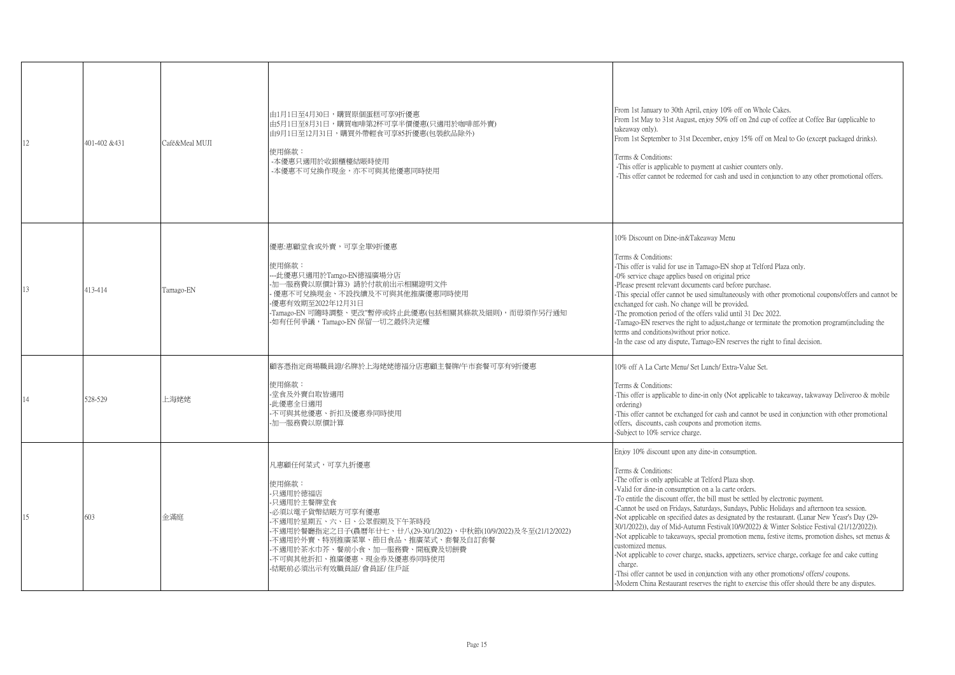| 12 | 401-402 &431 | Café&Meal MUJI | 由1月1日至4月30日,購買原個蛋糕可享9折優惠<br>由5月1日至8月31日,購買咖啡第2杯可享半價優惠(只適用於咖啡部外賣)<br>由9月1日至12月31日,購買外帶輕食可享85折優惠(包裝飲品除外)<br>使用條款:<br>-本優惠只適用於收銀櫃檯結賬時使用<br>-本優惠不可兌換作現金,亦不可與其他優惠同時使用                                                                                                                                | From 1st January to 30th April, enjoy 10% off on Whole Cakes.<br>From 1st May to 31st August, enjoy 50% off on 2nd cup of coffee at Coffee Bar (applicable to<br>takeaway only).<br>From 1st September to 31st December, enjoy 15% off on Meal to Go (except packaged drinks).<br>Terms & Conditions:<br>-This offer is applicable to payment at cashier counters only.<br>-This offer cannot be redeemed for cash and used in conjunction to any other promotional offers.                                                                                                                                                                                                                                                                                                                                                                                                                                                                                                                                            |
|----|--------------|----------------|-------------------------------------------------------------------------------------------------------------------------------------------------------------------------------------------------------------------------------------------------------------------------------------------------|------------------------------------------------------------------------------------------------------------------------------------------------------------------------------------------------------------------------------------------------------------------------------------------------------------------------------------------------------------------------------------------------------------------------------------------------------------------------------------------------------------------------------------------------------------------------------------------------------------------------------------------------------------------------------------------------------------------------------------------------------------------------------------------------------------------------------------------------------------------------------------------------------------------------------------------------------------------------------------------------------------------------|
| 13 | 413-414      | Tamago-EN      | 優惠:惠顧堂食或外賣,可享全單9折優惠<br>使用條款:<br>---此優惠只適用於Tamgo-EN德福廣場分店<br>-加一服務費以原價計算3) 請於付款前出示相關證明文件<br>優惠不可兌換現金、不設找續及不可與其他推廣優惠同時使用<br>-優惠有效期至2022年12月31日<br>-Tamago-EN 可隨時調整、更改"暫停或終止此優惠(包括相關其條款及細則),而毋須作另行通知<br>-如有任何爭議,Tamago-EN 保留一切之最終決定權                                                               | 10% Discount on Dine-in&Takeaway Menu<br>Terms & Conditions:<br>-This offer is valid for use in Tamago-EN shop at Telford Plaza only.<br>-0% service chage applies based on original price<br>-Please present relevant documents card before purchase.<br>-This special offer cannot be used simultaneously with other promotional coupons/offers and cannot be<br>exchanged for cash. No change will be provided.<br>-The promotion period of the offers valid until 31 Dec 2022.<br>-Tamago-EN reserves the right to adjust, change or terminate the promotion program(including the<br>terms and conditions) without prior notice.<br>-In the case od any dispute, Tamago-EN reserves the right to final decision.                                                                                                                                                                                                                                                                                                  |
|    | 528-529      | 上海姥姥           | 顧客憑指定商場職員證/名牌於上海姥姥德福分店惠顧主餐牌/午市套餐可享有9折優惠<br>使用條款:<br>-堂食及外賣自取皆適用<br>-此優惠全日適用<br>-不可與其他優惠、折扣及優惠券同時使用<br>-加一服務費以原價計算                                                                                                                                                                               | 10% off A La Carte Menu/ Set Lunch/ Extra-Value Set.<br>Terms & Conditions:<br>-This offer is applicable to dine-in only (Not applicable to takeaway, takwaway Deliveroo & mobile<br>ordering)<br>-This offer cannot be exchanged for cash and cannot be used in conjunction with other promotional<br>offers, discounts, cash coupons and promotion items.<br>-Subject to 10% service charge.                                                                                                                                                                                                                                                                                                                                                                                                                                                                                                                                                                                                                         |
| 15 | 603          | 金滿庭            | 凡惠顧任何菜式,可享九折優惠<br>使用條款:<br>-只適用於德福店<br>-只適用於主餐牌堂食<br>-必須以電子貨幣結賬方可享有優惠<br>-不適用於星期五、六、日、公眾假期及下午茶時段<br>-不適用於餐廳指定之日子(農曆年廿七、廿八(29-30/1/2022)、中秋節(10/9/2022)及冬至(21/12/2022)<br>-不適用於外賣、特別推廣菜單、節日食品、推廣菜式、套餐及自訂套餐<br>-不適用於茶水巾芥、餐前小食、加一服務費、開瓶費及切餅費<br>-不可與其他折扣、推廣優惠、現金券及優惠券同時使用<br>-結賬前必須出示有效職員証/會員証/住戶証 | Enjoy 10% discount upon any dine-in consumption.<br>Terms & Conditions:<br>-The offer is only applicable at Telford Plaza shop.<br>-Valid for dine-in consumption on a la carte orders.<br>-To entitle the discount offer, the bill must be settled by electronic payment.<br>-Cannot be used on Fridays, Saturdays, Sundays, Public Holidays and afternoon tea session.<br>-Not applicable on specified dates as designated by the restaurant. (Lunar New Yeasr's Day (29-<br>30/1/2022)), day of Mid-Autumn Festival(10/9/2022) & Winter Solstice Festival (21/12/2022)).<br>-Not applicable to takeaways, special promotion menu, festive items, promotion dishes, set menus $\&$<br>customized menus.<br>-Not applicable to cover charge, snacks, appetizers, service charge, corkage fee and cake cutting<br>charge.<br>-Thsi offer cannot be used in conjunction with any other promotions/ offers/ coupons.<br>-Modern China Restaurant reserves the right to exercise this offer should there be any disputes. |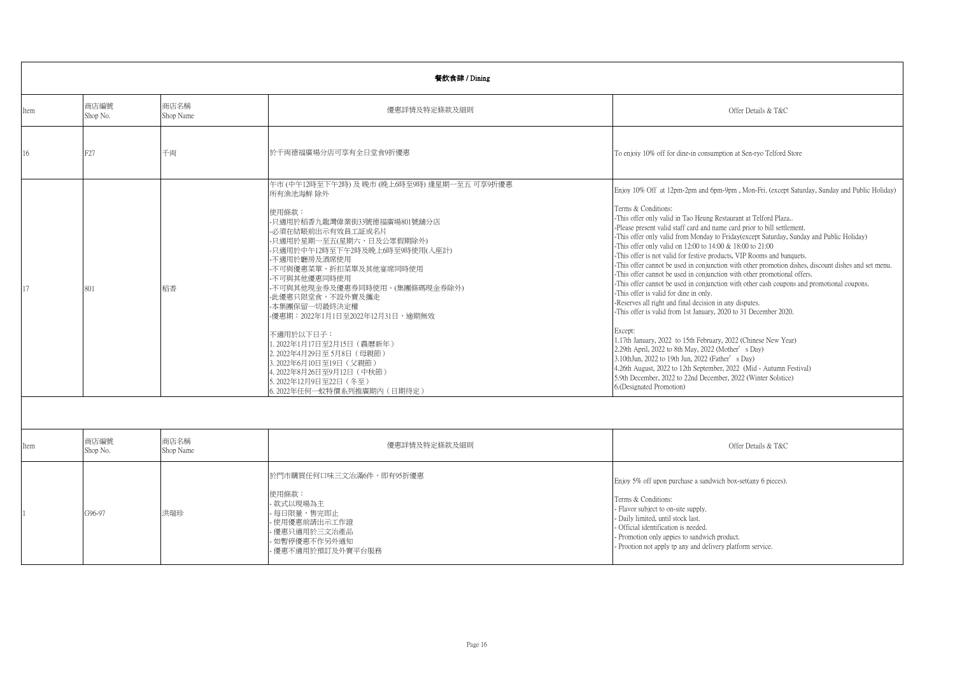|      | 餐飲食肆 / Dining    |                   |                                                                                                                                                                                                                                                                                                                                                                                                                                                                                                                                       |                                                                                                                                                                                                                                                                                                                                                                                                                                                                                                                                                                                                                                                                                                                                                                                                                                                                                                                                                                                                                                                                                                                                                                                                                                                                                                                             |  |
|------|------------------|-------------------|---------------------------------------------------------------------------------------------------------------------------------------------------------------------------------------------------------------------------------------------------------------------------------------------------------------------------------------------------------------------------------------------------------------------------------------------------------------------------------------------------------------------------------------|-----------------------------------------------------------------------------------------------------------------------------------------------------------------------------------------------------------------------------------------------------------------------------------------------------------------------------------------------------------------------------------------------------------------------------------------------------------------------------------------------------------------------------------------------------------------------------------------------------------------------------------------------------------------------------------------------------------------------------------------------------------------------------------------------------------------------------------------------------------------------------------------------------------------------------------------------------------------------------------------------------------------------------------------------------------------------------------------------------------------------------------------------------------------------------------------------------------------------------------------------------------------------------------------------------------------------------|--|
| Item | 商店編號<br>Shop No. | 商店名稱<br>Shop Name | 優惠詳情及特定條款及細則                                                                                                                                                                                                                                                                                                                                                                                                                                                                                                                          | Offer Details & T&C                                                                                                                                                                                                                                                                                                                                                                                                                                                                                                                                                                                                                                                                                                                                                                                                                                                                                                                                                                                                                                                                                                                                                                                                                                                                                                         |  |
| 16   | F27              | 千両                | 於千両德福廣場分店可享有全日堂食9折優惠                                                                                                                                                                                                                                                                                                                                                                                                                                                                                                                  | To enjoiy 10% off for dine-in consumption at Sen-ryo Telford Store                                                                                                                                                                                                                                                                                                                                                                                                                                                                                                                                                                                                                                                                                                                                                                                                                                                                                                                                                                                                                                                                                                                                                                                                                                                          |  |
| 17   | 801              | 稻香                | 午市(中午12時至下午2時)及晩市(晩上6時至9時)逢星期一至五 可享9折優惠<br>所有漁池海鮮 除外<br>使用條款:<br>- 只適用於稻香九龍灣偉業街33號德福廣場801號舖分店<br>-必須在結賬前出示有效員工証或名片<br>-只適用於星期一至五(星期六、日及公眾假期除外)<br>- 只適用於中午12時至下午2時及晚上6時至9時使用(入座計)<br>-不適用於廳房及酒席使用<br>-不可與優惠菜單、折扣菜單及其他宴席同時使用<br>-不可與其他優惠同時使用<br>-不可與其他現金券及優惠券同時使用。(集團條碼現金券除外)<br>-此優惠只限堂食,不設外賣及攜走<br>-本集團保留一切最終決定權<br>-優惠期:2022年1月1日至2022年12月31日,逾期無效<br>不適用於以下日子:<br>1.2022年1月17日至2月15日 (農曆新年)<br>2.2022年4月29日至5月8日 (母親節)<br>3.2022年6月10日至19日 (父親節)<br>4.2022年8月26日至9月12日 (中秋節)<br>5.2022年12月9日至22日 (冬至)<br>6.2022年任何一蚊特價系列推廣期內(日期待定) | Enjoy 10% Off at 12pm-2pm and 6pm-9pm, Mon-Fri. (except Saturday, Sunday and Public Holiday)<br>Terms & Conditions:<br>-This offer only valid in Tao Heung Restaurant at Telford Plaza<br>-Please present valid staff card and name card prior to bill settlement.<br>-This offer only valid from Monday to Friday(except Saturday, Sunday and Public Holiday)<br>-This offer only valid on 12:00 to 14:00 & 18:00 to 21:00<br>-This offer is not valid for festive products, VIP Rooms and banquets.<br>-This offer cannot be used in conjunction with other promotion dishes, discount dishes and set menu.<br>-This offer cannot be used in conjunction with other promotional offers.<br>-This offer cannot be used in conjunction with other cash coupons and promotional coupons.<br>-This offer is valid for dine in only.<br>-Reserves all right and final decision in any disputes.<br>-This offer is valid from 1st January, 2020 to 31 December 2020.<br>Except:<br>1.17th January, 2022 to 15th February, 2022 (Chinese New Year)<br>2.29th April, 2022 to 8th May, 2022 (Mother's Day)<br>3.10thJun, 2022 to 19th Jun, 2022 (Father's Day)<br>4.26th August, 2022 to 12th September, 2022 (Mid - Autumn Festival)<br>5.9th December, 2022 to 22nd December, 2022 (Winter Solstice)<br>6.(Designated Promotion) |  |
|      |                  |                   |                                                                                                                                                                                                                                                                                                                                                                                                                                                                                                                                       |                                                                                                                                                                                                                                                                                                                                                                                                                                                                                                                                                                                                                                                                                                                                                                                                                                                                                                                                                                                                                                                                                                                                                                                                                                                                                                                             |  |
| Item | 商店編號<br>Shop No. | 商店名稱<br>Shop Name | 優惠詳情及特定條款及細則                                                                                                                                                                                                                                                                                                                                                                                                                                                                                                                          | Offer Details & T&C                                                                                                                                                                                                                                                                                                                                                                                                                                                                                                                                                                                                                                                                                                                                                                                                                                                                                                                                                                                                                                                                                                                                                                                                                                                                                                         |  |
|      | G96-97           | 洪瑞珍               | 於門市購買任何口味三文治滿6件,即有95折優惠<br>使用條款:<br>款式以現場為主<br>每日限量,售完即止<br>使用優惠前請出示工作證<br>優惠只適用於三文治產品<br>如暫停優惠不作另外通知<br>優惠不適用於預訂及外賣平台服務                                                                                                                                                                                                                                                                                                                                                                                                              | Enjoy 5% off upon purchase a sandwich box-set(any 6 pieces).<br>Terms & Conditions:<br>- Flavor subject to on-site supply.<br>- Daily limited, until stock last.<br>- Official identification is needed.<br>- Promotion only appies to sandwich product.<br>- Prootion not apply tp any and delivery platform service.                                                                                                                                                                                                                                                                                                                                                                                                                                                                                                                                                                                                                                                                                                                                                                                                                                                                                                                                                                                                      |  |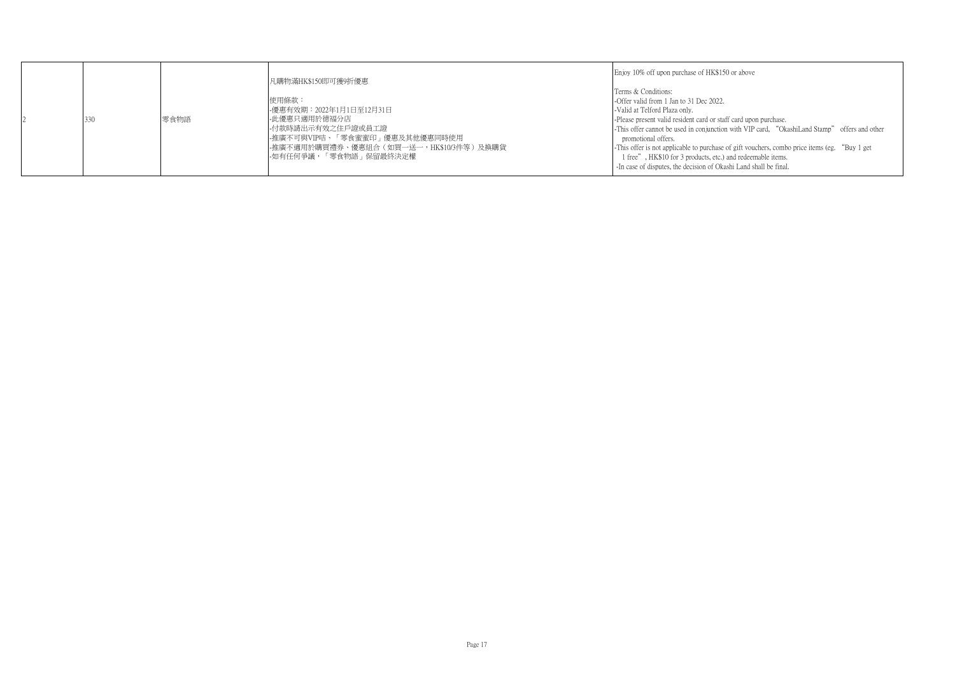| Terms & Conditions:<br>使用條款:<br>-Offer valid from 1 Jan to 31 Dec 2022.<br>-優惠有效期:2022年1月1日至12月31日<br>-Valid at Telford Plaza only.<br>零食物語<br>-此優惠只適用於德福分店<br>330<br>-Please present valid resident card or staff card upon purchase.<br>-付款時請出示有效之住戶證或員工證<br>-This offer cannot be used in conjunction with VIP card, "OkashiLand Stamp" offers and other<br> -推廣不可與VIP咭、「零食蜜蜜印」優惠及其他優惠同時使用 <br>promotional offers.<br> -推廣不適用於購買禮券、優惠組合(如買一送一,HK\$10/3件等)及換購貨 <br>-This offer is not applicable to purchase of gift vouchers, combo price items (eg. "Buy 1 get<br>-如有任何爭議,「零食物語」保留最終決定權<br>1 free", HK\$10 for 3 products, etc.) and redeemable items.<br>-In case of disputes, the decision of Okashi Land shall be final. |  |
|---------------------------------------------------------------------------------------------------------------------------------------------------------------------------------------------------------------------------------------------------------------------------------------------------------------------------------------------------------------------------------------------------------------------------------------------------------------------------------------------------------------------------------------------------------------------------------------------------------------------------------------------------------------------------------------------------------------------------------|--|
|---------------------------------------------------------------------------------------------------------------------------------------------------------------------------------------------------------------------------------------------------------------------------------------------------------------------------------------------------------------------------------------------------------------------------------------------------------------------------------------------------------------------------------------------------------------------------------------------------------------------------------------------------------------------------------------------------------------------------------|--|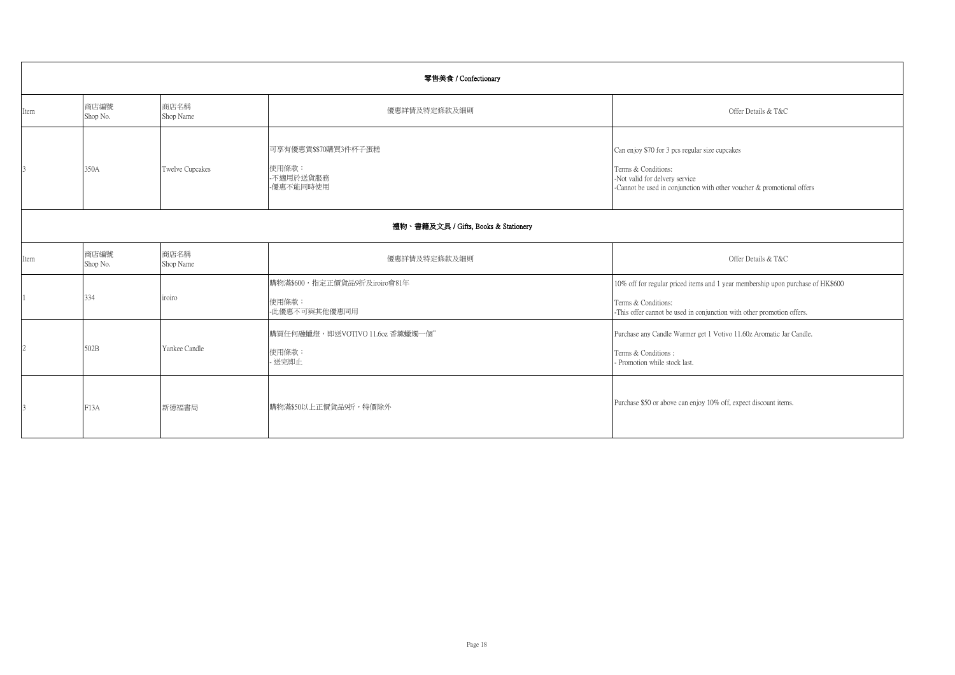|                                      | 零售美食 / Confectionary |                   |                                                         |                                                                                                                                                                                   |  |  |
|--------------------------------------|----------------------|-------------------|---------------------------------------------------------|-----------------------------------------------------------------------------------------------------------------------------------------------------------------------------------|--|--|
| Item                                 | 商店編號<br>Shop No.     | 商店名稱<br>Shop Name | 優惠詳情及特定條款及細則                                            | Offer Details & T&C                                                                                                                                                               |  |  |
|                                      | 350A                 | Twelve Cupcakes   | 可享有優惠賃\$\$70購買3件杯子蛋糕<br>使用條款:<br>-不適用於送貨服務<br>-優惠不能同時使用 | Can enjoy \$70 for 3 pcs regular size cupcakes<br>Terms & Conditions:<br>-Not valid for delvery service<br>-Cannot be used in conjunction with other voucher & promotional offers |  |  |
| 禮物、書籍及文具 / Gifts, Books & Stationery |                      |                   |                                                         |                                                                                                                                                                                   |  |  |
| Item                                 | 商店編號<br>Shop No.     | 商店名稱<br>Shop Name | 優惠詳情及特定條款及細則                                            | Offer Details & T&C                                                                                                                                                               |  |  |
|                                      | 334                  | iroiro            | 購物滿\$600,指定正價貨品9折及iroiro會81年<br>使用條款:<br>-此優惠不可與其他優惠同用  | 10% off for regular priced items and 1 year membership upon purchase of HK\$600<br>Terms & Conditions:<br>-This offer cannot be used in conjunction with other promotion offers.  |  |  |
|                                      | 502B                 | Yankee Candle     | 購買任何融蠟燈, 即送VOTIVO 11.6oz 香薰蠟燭一個"<br>使用條款:<br>送完即止       | Purchase any Candle Warmer get 1 Votivo 11.60z Aromatic Jar Candle.<br>Terms & Conditions:<br>- Promotion while stock last.                                                       |  |  |
|                                      | F13A                 | 新德福書局             | 購物滿\$50以上正價貨品9折,特價除外                                    | Purchase \$50 or above can enjoy 10% off, expect discount items.                                                                                                                  |  |  |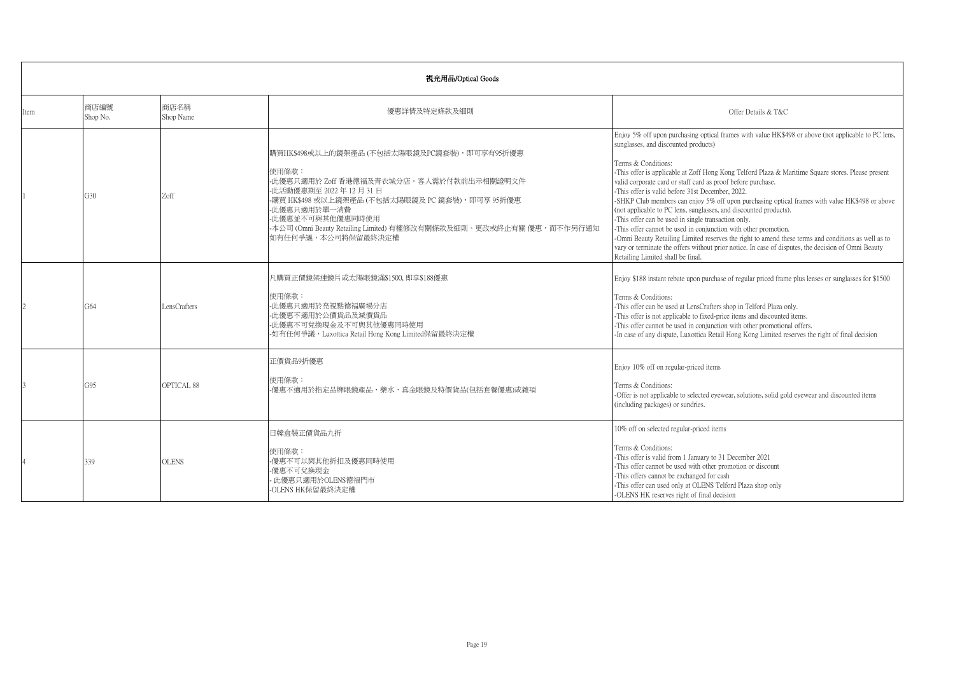|      | 視光用品/Optical Goods |                   |                                                                                                                                                                                                                                                                                                                 |                                                                                                                                                                                                                                                                                                                                                                                                                                                                                                                                                                                                                                                                                                                                                                                                                                                                                                                                                 |  |
|------|--------------------|-------------------|-----------------------------------------------------------------------------------------------------------------------------------------------------------------------------------------------------------------------------------------------------------------------------------------------------------------|-------------------------------------------------------------------------------------------------------------------------------------------------------------------------------------------------------------------------------------------------------------------------------------------------------------------------------------------------------------------------------------------------------------------------------------------------------------------------------------------------------------------------------------------------------------------------------------------------------------------------------------------------------------------------------------------------------------------------------------------------------------------------------------------------------------------------------------------------------------------------------------------------------------------------------------------------|--|
| Item | 商店編號<br>Shop No.   | 商店名稱<br>Shop Name | 優惠詳情及特定條款及細則                                                                                                                                                                                                                                                                                                    | Offer Details & T&C                                                                                                                                                                                                                                                                                                                                                                                                                                                                                                                                                                                                                                                                                                                                                                                                                                                                                                                             |  |
|      | G30                | Zoff              | 購買HK\$498或以上的鏡架產品 (不包括太陽眼鏡及PC鏡套裝),即可享有95折優惠<br>使用條款:<br>-此優惠只適用於 Zoff 香港德福及青衣城分店。客人需於付款前出示相關證明文件<br>-此活動優惠期至 2022年12月31日<br>-購買 HK\$498 或以上鏡架產品 (不包括太陽眼鏡及 PC 鏡套裝), 即可享 95折優惠<br>- 此優惠只適用於單一消費<br>- 此優惠並不可與其他優惠同時使用<br>-本公司 (Omni Beauty Retailing Limited) 有權修改有關條款及細則、更改或終止有關 優惠,而不作另行通知<br>如有任何爭議,本公司將保留最終決定權 | Enjoy 5% off upon purchasing optical frames with value HK\$498 or above (not applicable to PC lens,<br>sunglasses, and discounted products)<br>Terms & Conditions:<br>-This offer is applicable at Zoff Hong Kong Telford Plaza & Maritime Square stores. Please present<br>valid corporate card or staff card as proof before purchase.<br>This offer is valid before 31st December, 2022.<br>-SHKP Club members can enjoy 5% off upon purchasing optical frames with value HK\$498 or above<br>(not applicable to PC lens, sunglasses, and discounted products).<br>-This offer can be used in single transaction only.<br>-This offer cannot be used in conjunction with other promotion.<br>-Omni Beauty Retailing Limited reserves the right to amend these terms and conditions as well as to<br>vary or terminate the offers without prior notice. In case of disputes, the decision of Omni Beauty<br>Retailing Limited shall be final. |  |
|      | G64                | LensCrafters      | 凡購買正價鏡架連鏡片或太陽眼鏡滿\$1500,即享\$188優惠<br>使用條款:<br>-此優惠只適用於亮視點德福廣場分店<br>- 此優惠不適用於公價貨品及減價貨品<br>-此優惠不可兌換現金及不可與其他優惠同時使用<br>-如有任何爭議,Luxottica Retail Hong Kong Limited保留最終決定權                                                                                                                                             | Enjoy \$188 instant rebate upon purchase of regular priced frame plus lenses or sunglasses for \$1500<br>Terms & Conditions:<br>-This offer can be used at LensCrafters shop in Telford Plaza only.<br>-This offer is not applicable to fixed-price items and discounted items.<br>-This offer cannot be used in conjunction with other promotional offers.<br>-In case of any dispute, Luxottica Retail Hong Kong Limited reserves the right of final decision                                                                                                                                                                                                                                                                                                                                                                                                                                                                                 |  |
|      | G95                | OPTICAL 88        | 正價貨品9折優惠<br>使用條款:<br>-優惠不適用於指定品牌眼鏡產品、藥水、真金眼鏡及特價貨品(包括套餐優惠)或雜項                                                                                                                                                                                                                                                    | Enjoy 10% off on regular-priced items<br>Terms & Conditions:<br>-Offer is not applicable to selected eyewear, solutions, solid gold eyewear and discounted items<br>(including packages) or sundries.                                                                                                                                                                                                                                                                                                                                                                                                                                                                                                                                                                                                                                                                                                                                           |  |
|      | 339                | <b>OLENS</b>      | 日韓盒裝正價貨品九折<br>使用條款:<br>-優惠不可以與其他折扣及優惠同時使用<br>-優惠不可兌換現金<br>- 此優惠只適用於OLENS德福門市<br>-OLENS HK保留最終決定權                                                                                                                                                                                                                | 10% off on selected regular-priced items<br>Terms & Conditions:<br>-This offer is valid from 1 January to 31 December 2021<br>-This offer cannot be used with other promotion or discount<br>-This offers cannot be exchanged for cash<br>-This offer can used only at OLENS Telford Plaza shop only<br>-OLENS HK reserves right of final decision                                                                                                                                                                                                                                                                                                                                                                                                                                                                                                                                                                                              |  |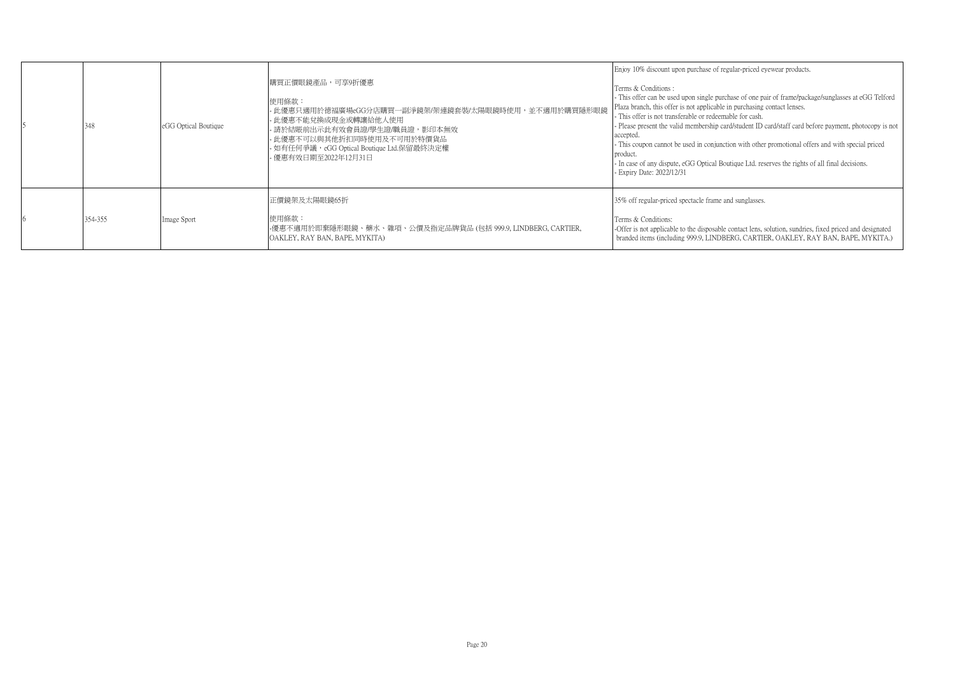| 348     | eGG Optical Boutique | 購買正價眼鏡產品,可享9折優惠 <br>使用條款:<br>- 此優惠只適用於德福廣場eGG分店購買一副淨鏡架/架連鏡套裝/太陽眼鏡時使用,並不適用於購買隱形眼鏡<br>- 此優惠不能兌換成現金或轉讓給他人使用<br>- 請於結賬前出示此有效會員證/學生證/職員證,影印本無效<br>- 此優惠不可以與其他折扣同時使用及不可用於特價貨品<br>- 如有任何爭議,eGG Optical Boutique Ltd.保留最終決定權<br>- 優惠有效日期至2022年12月31日 | Enjoy 10% discount upon purchase of regular-priced eyewear products.<br>Terms & Conditions:<br>- This offer can be used upon single purchase of one pair of frame/package/sunglasses at eGG Telford<br>Plaza branch, this offer is not applicable in purchasing contact lenses.<br>- This offer is not transferable or redeemable for cash.<br>- Please present the valid membership card/student ID card/staff card before payment, photocopy is not<br>accepted.<br>This coupon cannot be used in conjunction with other promotional offers and with special priced<br>product<br>- In case of any dispute, eGG Optical Boutique Ltd. reserves the rights of all final decisions.<br>- Expiry Date: 2022/12/31 |
|---------|----------------------|----------------------------------------------------------------------------------------------------------------------------------------------------------------------------------------------------------------------------------------------|------------------------------------------------------------------------------------------------------------------------------------------------------------------------------------------------------------------------------------------------------------------------------------------------------------------------------------------------------------------------------------------------------------------------------------------------------------------------------------------------------------------------------------------------------------------------------------------------------------------------------------------------------------------------------------------------------------------|
| 354-355 | Image Sport          | 正價鏡架及太陽眼鏡65折<br>使用條款:<br>-優惠不適用於即棄隱形眼鏡、藥水、雜項、公價及指定品牌貨品 (包括 999.9, LINDBERG, CARTIER,<br>OAKLEY, RAY BAN, BAPE, MYKITA)                                                                                                                       | 35% off regular-priced spectacle frame and sunglasses.<br>Terms & Conditions:<br>-Offer is not applicable to the disposable contact lens, solution, sundries, fixed priced and designated<br>branded items (including 999.9, LINDBERG, CARTIER, OAKLEY, RAY BAN, BAPE, MYKITA.)                                                                                                                                                                                                                                                                                                                                                                                                                                  |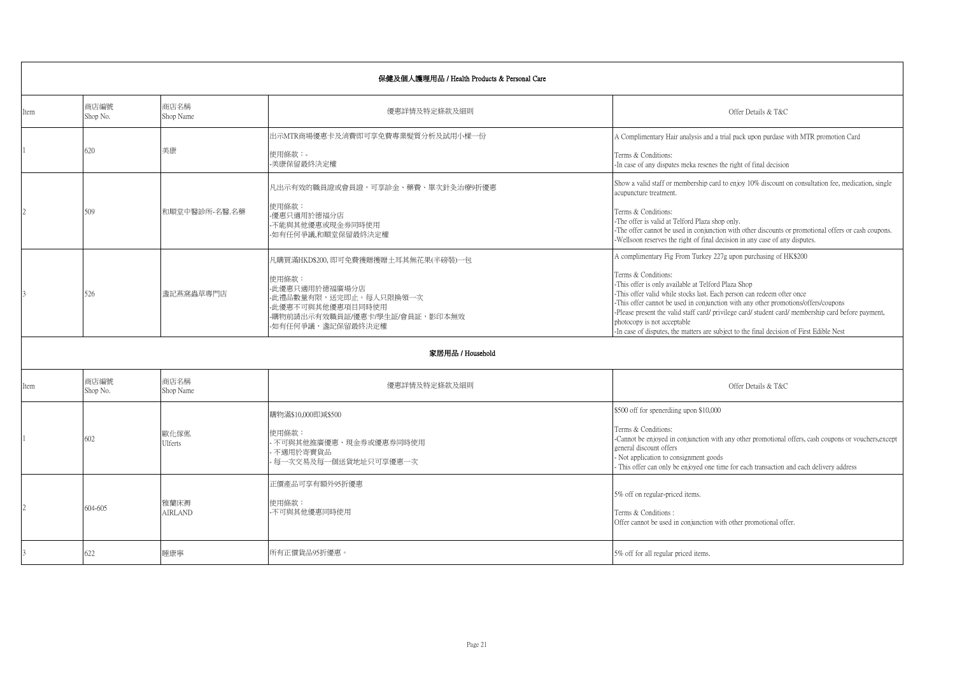|                          | 保健及個人護理用品 / Health Products & Personal Care |                        |                                                                                                                                                                     |                                                                                                                                                                                                                                                                                                                                                                                                                                                                                                                                                 |  |
|--------------------------|---------------------------------------------|------------------------|---------------------------------------------------------------------------------------------------------------------------------------------------------------------|-------------------------------------------------------------------------------------------------------------------------------------------------------------------------------------------------------------------------------------------------------------------------------------------------------------------------------------------------------------------------------------------------------------------------------------------------------------------------------------------------------------------------------------------------|--|
| Item                     | 商店編號<br>Shop No.                            | 商店名稱<br>Shop Name      | 優惠詳情及特定條款及細則                                                                                                                                                        | Offer Details & T&C                                                                                                                                                                                                                                                                                                                                                                                                                                                                                                                             |  |
|                          | 620                                         | 美康                     | 出示MTR商場優惠卡及消費即可享免費專業髮質分析及試用小樣一份<br>使用條款:-<br>美康保留最終決定權                                                                                                              | A Complimentary Hair analysis and a trial pack upon purdase with MTR promotion Card<br>Terms & Conditions:<br>-In case of any disputes meka resenes the right of final decision                                                                                                                                                                                                                                                                                                                                                                 |  |
|                          | 509                                         | 和順堂中醫診所-名醫.名藥          | 凡出示有效的職員證或會員證,可享診金、藥費、單次針灸治療9折優惠<br>使用條款:<br>優惠只適用於德福分店<br>-不能與其他優惠或現金券同時使用<br>如有任何爭議,和順堂保留最終決定權                                                                    | Show a valid staff or membership card to enjoy 10% discount on consultation fee, medication, single<br>acupuncture treatment.<br>Terms & Conditions:<br>-The offer is valid at Telford Plaza shop only.<br>-The offer cannot be used in conjunction with other discounts or promotional offers or cash coupons.<br>-Wellsoon reserves the right of final decision in any case of any disputes.                                                                                                                                                  |  |
|                          | 526                                         | 遂記燕窩蟲草專門店              | 凡購買滿HKD\$200.即可免費獲贈擭贈土耳其無花果(半磅裝)一包<br>使用條款:<br>-此優惠只適用於德福廣場分店<br>-此禮品數量有限,送完即止。每人只限換領一次<br>-此優惠不可與其他優惠項目同時使用<br>-購物前請出示有效職員証/優惠卡/學生証/會員証,影印本無效<br>-如有任何爭議,盞記保留最終決定權 | A complimentary Fig From Turkey 227g upon purchasing of HK\$200<br>Terms & Conditions:<br>-This offer is only available at Telford Plaza Shop<br>-This offer valid while stocks last. Each person can redeem ofter once<br>-This offer cannot be used in conjunction with any other promotions/offers/coupons<br>-Please present the valid staff card/ privilege card/ student card/ membership card before payment,<br>photocopy is not acceptable<br>-In case of disputes, the matters are subject to the final decision of First Edible Nest |  |
|                          |                                             |                        | 家居用品 / Household                                                                                                                                                    |                                                                                                                                                                                                                                                                                                                                                                                                                                                                                                                                                 |  |
| Item                     | 商店編號<br>Shop No.                            | 商店名稱<br>Shop Name      | 優惠詳情及特定條款及細則                                                                                                                                                        | Offer Details & T&C                                                                                                                                                                                                                                                                                                                                                                                                                                                                                                                             |  |
|                          | 602                                         | 歐化傢俬<br><b>Ulferts</b> | 購物滿\$10,000即減\$500<br>使用條款:<br>不可與其他推廣優惠、現金券或優惠券同時使用<br>不適用於寄賣貨品<br>每一次交易及每一個送貨地址只可享優惠一次                                                                            | \$500 off for spenerdiing upon \$10,000<br>Terms & Conditions:<br>-Cannot be enjoyed in conjunction with any other promotional offers, cash coupons or vouchers, except<br>eeneral discount offers<br>Not application to consignment goods<br>This offer can only be enjoyed one time for each transaction and each delivery address                                                                                                                                                                                                            |  |
| $\overline{\mathcal{L}}$ | $604 - 605$                                 | 雅蘭床褥<br><b>AIRLAND</b> | 正價產品可享有額外95折優惠<br>使用條款:<br>不可與其他優惠同時使用                                                                                                                              | 5% off on regular-priced items.<br>Terms & Conditions:<br>Offer cannot be used in conjunction with other promotional offer.                                                                                                                                                                                                                                                                                                                                                                                                                     |  |
|                          | 622                                         | 睡康寧                    | 所有正價貨品95折優惠。                                                                                                                                                        | 5% off for all regular priced items.                                                                                                                                                                                                                                                                                                                                                                                                                                                                                                            |  |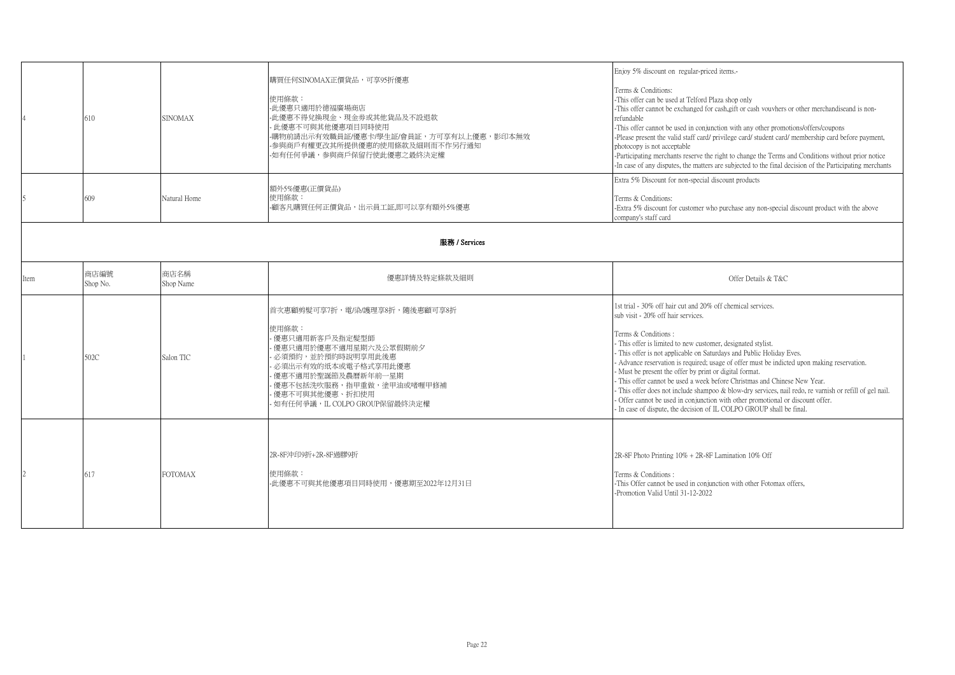|               | 610              | <b>SINOMAX</b>    | 購買任何SINOMAX正價貨品,可享95折優惠<br>使用條款:<br>-此優惠只適用於德福廣場商店<br>-此優惠不得兌換現金、現金券或其他貨品及不設退款<br>此優惠不可與其他優惠項目同時使用<br>-購物前請出示有效職員証/優惠卡/學生証/會員証,方可享有以上優惠,影印本無效<br>-参與商戶有權更改其所提供優惠的使用條款及細則而不作另行通知<br>-如有任何爭議,参與商戶保留行使此優惠之最終決定權                      | Enjoy 5% discount on regular-priced items.-<br>Terms & Conditions:<br>-This offer can be used at Telford Plaza shop only<br>-This offer cannot be exchanged for cash, gift or cash vouvhers or other merchandiseand is non-<br>refundable<br>-This offer cannot be used in conjunction with any other promotions/offers/coupons<br>-Please present the valid staff card/ privilege card/ student card/ membership card before payment,<br>photocopy is not acceptable<br>-Participating merchants reserve the right to change the Terms and Conditions without prior notice<br>-In case of any disputes, the matters are subjected to the final decision of the Participating merchants                                                                                       |  |
|---------------|------------------|-------------------|-----------------------------------------------------------------------------------------------------------------------------------------------------------------------------------------------------------------------------------|-------------------------------------------------------------------------------------------------------------------------------------------------------------------------------------------------------------------------------------------------------------------------------------------------------------------------------------------------------------------------------------------------------------------------------------------------------------------------------------------------------------------------------------------------------------------------------------------------------------------------------------------------------------------------------------------------------------------------------------------------------------------------------|--|
|               | 609              | Natural Home      | 額外5%優惠(正價貨品)<br>使用條款:<br>-顧客凡購買任何正價貨品,出示員工証,即可以享有額外5%優惠                                                                                                                                                                           | Extra 5% Discount for non-special discount products<br>Terms & Conditions:<br>-Extra 5% discount for customer who purchase any non-special discount product with the above<br>company's staff card                                                                                                                                                                                                                                                                                                                                                                                                                                                                                                                                                                            |  |
| 服務 / Services |                  |                   |                                                                                                                                                                                                                                   |                                                                                                                                                                                                                                                                                                                                                                                                                                                                                                                                                                                                                                                                                                                                                                               |  |
| Item          | 商店編號<br>Shop No. | 商店名稱<br>Shop Name | 優惠詳情及特定條款及細則                                                                                                                                                                                                                      | Offer Details & T&C                                                                                                                                                                                                                                                                                                                                                                                                                                                                                                                                                                                                                                                                                                                                                           |  |
|               | 502C             | Salon TIC         | 首次惠顧剪髮可享7折,電/染/護理享8折,隨後惠顧可享8折<br>使用條款:<br>優惠只適用新客戶及指定髮型師<br>優惠只適用於優惠不適用星期六及公眾假期前夕<br>必須預約,並於預約時說明享用此後惠<br>必須出示有效的纸本或電子格式享用此優惠<br>優惠不適用於聖誕節及農曆新年前一星期<br>優惠不包括洗吹服務,指甲重做,塗甲油或啫喱甲修補<br>優惠不可與其他優惠、折扣使用<br>如有任何爭議,IL COLPO GROUP保留最終決定權 | 1st trial - 30% off hair cut and 20% off chemical services.<br>sub visit - 20% off hair services.<br>Terms & Conditions:<br>- This offer is limited to new customer, designated stylist.<br>- This offer is not applicable on Saturdays and Public Holiday Eves.<br>- Advance reservation is required; usage of offer must be indicted upon making reservation.<br>- Must be present the offer by print or digital format.<br>- This offer cannot be used a week before Christmas and Chinese New Year.<br>- This offer does not include shampoo & blow-dry services, nail redo, re varnish or refill of gel nail.<br>- Offer cannot be used in conjunction with other promotional or discount offer.<br>- In case of dispute, the decision of IL COLPO GROUP shall be final. |  |
|               | 617              | <b>FOTOMAX</b>    | 2R-8F沖印9折+2R-8F過膠9折<br>使用條款:<br>-此優惠不可與其他優惠項目同時使用,優惠期至2022年12月31日                                                                                                                                                                 | 2R-8F Photo Printing 10% + 2R-8F Lamination 10% Off<br>Terms & Conditions:<br>-This Offer cannot be used in conjunction with other Fotomax offers,<br>-Promotion Valid Until 31-12-2022                                                                                                                                                                                                                                                                                                                                                                                                                                                                                                                                                                                       |  |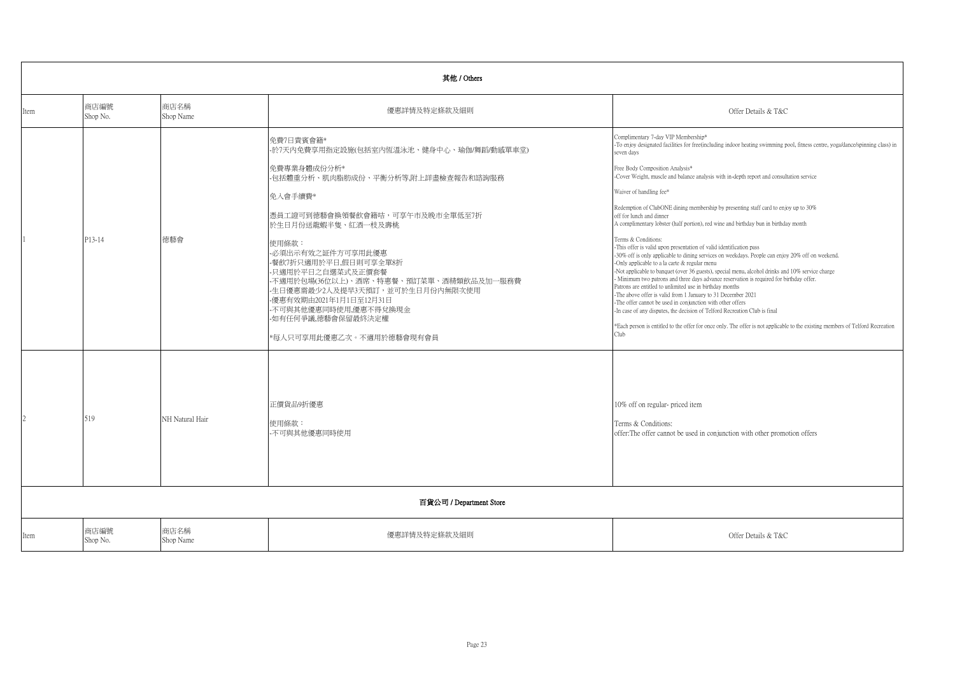|      | 其他 / Others      |                   |                                                                                                                                                                                                                                                                                                                                                                                                                                               |                                                                                                                                                                                                                                                                                                                                                                                                                                                                                                                                                                                                                                                                                                                                                                                                                                                                                                                                                                                                                                                                                                                                                                                                                                                                                                                                                                                                                              |  |  |
|------|------------------|-------------------|-----------------------------------------------------------------------------------------------------------------------------------------------------------------------------------------------------------------------------------------------------------------------------------------------------------------------------------------------------------------------------------------------------------------------------------------------|------------------------------------------------------------------------------------------------------------------------------------------------------------------------------------------------------------------------------------------------------------------------------------------------------------------------------------------------------------------------------------------------------------------------------------------------------------------------------------------------------------------------------------------------------------------------------------------------------------------------------------------------------------------------------------------------------------------------------------------------------------------------------------------------------------------------------------------------------------------------------------------------------------------------------------------------------------------------------------------------------------------------------------------------------------------------------------------------------------------------------------------------------------------------------------------------------------------------------------------------------------------------------------------------------------------------------------------------------------------------------------------------------------------------------|--|--|
| Item | 商店編號<br>Shop No. | 商店名稱<br>Shop Name | 優惠詳情及特定條款及細則                                                                                                                                                                                                                                                                                                                                                                                                                                  | Offer Details & T&C                                                                                                                                                                                                                                                                                                                                                                                                                                                                                                                                                                                                                                                                                                                                                                                                                                                                                                                                                                                                                                                                                                                                                                                                                                                                                                                                                                                                          |  |  |
|      | P13-14           | 德藝會               | 免費7日貴賓會籍*<br>-於7天内免費享用指定設施(包括室内恆溫泳池、健身中心、瑜伽/舞蹈/動感單車堂)<br> 免費專業身體成份分析*<br>-包括體重分析、肌肉脂肪成份、平衡分析等,附上詳盡檢查報告和諮詢服務<br>免入會手續費*<br>憑員工證可到德藝會換領餐飲會籍咭,可享午市及晚市全單低至7折<br>於生日月份送龍蝦半隻、紅酒一枝及壽桃<br>使用條款:<br>-必須出示有效之証件方可享用此優惠<br>-餐飲7折只適用於平日,假日則可享全單8折<br>-只適用於平日之自選菜式及正價套餐<br>-不適用於包場(36位以上)、酒席、特惠餐、預訂菜單、酒精類飲品及加一服務費<br>-生日優惠需最少2人及提早3天預訂,並可於生日月份內無限次使用<br>-優惠有效期由2021年1月1日至12月31日<br>-不可與其他優惠同時使用,優惠不得兌換現金<br>-如有任何爭議,德藝會保留最終決定權<br>*每人只可享用此優惠乙次。不適用於德藝會現有會員 | Complimentary 7-day VIP Membership*<br>-To enjoy designated facilities for free(including indoor heating swimming pool, fitness centre, yoga/dance/spinning class) in<br>seven davs<br>Free Body Composition Analysis*<br>-Cover Weight, muscle and balance analysis with in-depth report and consultation service<br>Waiver of handling fee*<br>Redemption of ClubONE dining membership by presenting staff card to enjoy up to 30%<br>off for lunch and dinner<br>A complimentary lobster (half portion), red wine and birthday bun in birthday month<br>Terms & Conditions:<br>-This offer is valid upon presentation of valid identification pass<br>-30% off is only applicable to dining services on weekdays. People can enjoy 20% off on weekend.<br>-Only applicable to a la carte & regular menu<br>-Not applicable to banquet (over 36 guests), special menu, alcohol drinks and 10% service charge<br>- Minimum two patrons and three days advance reservation is required for birthday offer.<br>Patrons are entitled to unlimited use in birthday months<br>-The above offer is valid from 1 January to 31 December 2021<br>-The offer cannot be used in conjunction with other offers<br>-In case of any disputes, the decision of Telford Recreation Club is final<br>*Each person is entitled to the offer for once only. The offer is not applicable to the existing members of Telford Recreation<br>Club |  |  |
|      | 519              | NH Natural Hair   | 正價貨品9折優惠<br>使用條款:<br>不可與其他優惠同時使用<br>百貨公司 / Department Store                                                                                                                                                                                                                                                                                                                                                                                   | 10% off on regular-priced item<br>Terms & Conditions:<br>offer: The offer cannot be used in conjunction with other promotion offers                                                                                                                                                                                                                                                                                                                                                                                                                                                                                                                                                                                                                                                                                                                                                                                                                                                                                                                                                                                                                                                                                                                                                                                                                                                                                          |  |  |
| Item | 商店編號<br>Shop No. | 商店名稱<br>Shop Name | 優惠詳情及特定條款及細則                                                                                                                                                                                                                                                                                                                                                                                                                                  | Offer Details & T&C                                                                                                                                                                                                                                                                                                                                                                                                                                                                                                                                                                                                                                                                                                                                                                                                                                                                                                                                                                                                                                                                                                                                                                                                                                                                                                                                                                                                          |  |  |